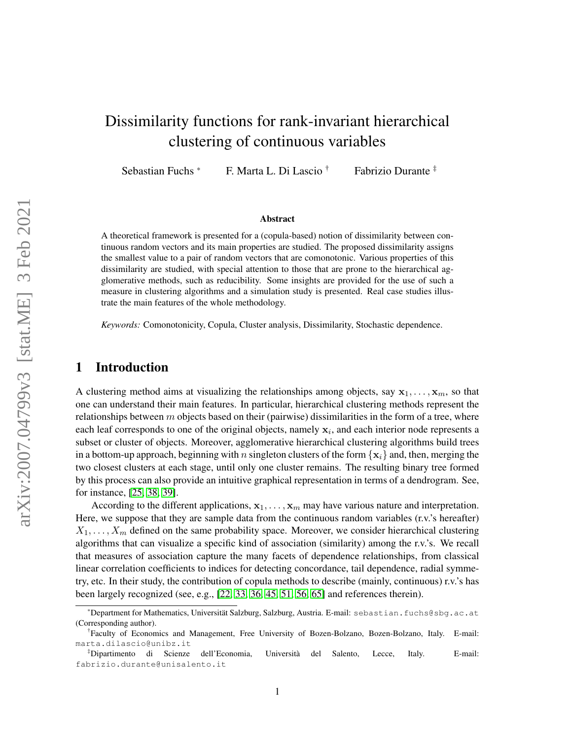# Dissimilarity functions for rank-invariant hierarchical clustering of continuous variables

Sebastian Fuchs \* F. Marta L. Di Lascio † Fabrizio Durante ‡

#### Abstract

A theoretical framework is presented for a (copula-based) notion of dissimilarity between continuous random vectors and its main properties are studied. The proposed dissimilarity assigns the smallest value to a pair of random vectors that are comonotonic. Various properties of this dissimilarity are studied, with special attention to those that are prone to the hierarchical agglomerative methods, such as reducibility. Some insights are provided for the use of such a measure in clustering algorithms and a simulation study is presented. Real case studies illustrate the main features of the whole methodology.

*Keywords:* Comonotonicity, Copula, Cluster analysis, Dissimilarity, Stochastic dependence.

### 1 Introduction

A clustering method aims at visualizing the relationships among objects, say  $x_1, \ldots, x_m$ , so that one can understand their main features. In particular, hierarchical clustering methods represent the relationships between  $m$  objects based on their (pairwise) dissimilarities in the form of a tree, where each leaf corresponds to one of the original objects, namely  $x_i$ , and each interior node represents a subset or cluster of objects. Moreover, agglomerative hierarchical clustering algorithms build trees in a bottom-up approach, beginning with n singleton clusters of the form  $\{x_i\}$  and, then, merging the two closest clusters at each stage, until only one cluster remains. The resulting binary tree formed by this process can also provide an intuitive graphical representation in terms of a dendrogram. See, for instance, [\[25,](#page-24-0) [38,](#page-25-0) [39\]](#page-25-1).

According to the different applications,  $x_1, \ldots, x_m$  may have various nature and interpretation. Here, we suppose that they are sample data from the continuous random variables (r.v.'s hereafter)  $X_1, \ldots, X_m$  defined on the same probability space. Moreover, we consider hierarchical clustering algorithms that can visualize a specific kind of association (similarity) among the r.v.'s. We recall that measures of association capture the many facets of dependence relationships, from classical linear correlation coefficients to indices for detecting concordance, tail dependence, radial symmetry, etc. In their study, the contribution of copula methods to describe (mainly, continuous) r.v.'s has been largely recognized (see, e.g., [\[22,](#page-24-1) [33,](#page-24-2) [36,](#page-24-3) [45,](#page-25-2) [51,](#page-25-3) [56,](#page-25-4) [65\]](#page-26-0) and references therein).

<sup>\*</sup>Department for Mathematics, Universität Salzburg, Salzburg, Austria. E-mail: sebastian.fuchs@sbg.ac.at (Corresponding author).

<sup>†</sup> Faculty of Economics and Management, Free University of Bozen-Bolzano, Bozen-Bolzano, Italy. E-mail: marta.dilascio@unibz.it

<sup>‡</sup>Dipartimento di Scienze dell'Economia, Universita del Salento, Lecce, Italy. E-mail: ` fabrizio.durante@unisalento.it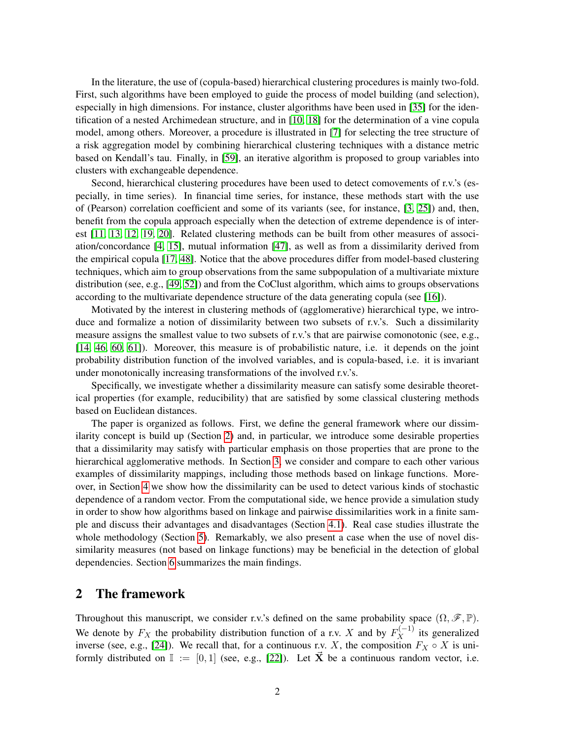In the literature, the use of (copula-based) hierarchical clustering procedures is mainly two-fold. First, such algorithms have been employed to guide the process of model building (and selection), especially in high dimensions. For instance, cluster algorithms have been used in [\[35\]](#page-24-4) for the identification of a nested Archimedean structure, and in [\[10,](#page-23-0) [18\]](#page-24-5) for the determination of a vine copula model, among others. Moreover, a procedure is illustrated in [\[7\]](#page-23-1) for selecting the tree structure of a risk aggregation model by combining hierarchical clustering techniques with a distance metric based on Kendall's tau. Finally, in [\[59\]](#page-25-5), an iterative algorithm is proposed to group variables into clusters with exchangeable dependence.

Second, hierarchical clustering procedures have been used to detect comovements of r.v.'s (especially, in time series). In financial time series, for instance, these methods start with the use of (Pearson) correlation coefficient and some of its variants (see, for instance, [\[3,](#page-23-2) [25\]](#page-24-0)) and, then, benefit from the copula approach especially when the detection of extreme dependence is of interest [\[11,](#page-24-6) [13,](#page-24-7) [12,](#page-24-8) [19,](#page-24-9) [20\]](#page-24-10). Related clustering methods can be built from other measures of association/concordance [\[4,](#page-23-3) [15\]](#page-24-11), mutual information [\[47\]](#page-25-6), as well as from a dissimilarity derived from the empirical copula [\[17,](#page-24-12) [48\]](#page-25-7). Notice that the above procedures differ from model-based clustering techniques, which aim to group observations from the same subpopulation of a multivariate mixture distribution (see, e.g., [\[49,](#page-25-8) [52\]](#page-25-9)) and from the CoClust algorithm, which aims to groups observations according to the multivariate dependence structure of the data generating copula (see [\[16\]](#page-24-13)).

Motivated by the interest in clustering methods of (agglomerative) hierarchical type, we introduce and formalize a notion of dissimilarity between two subsets of r.v.'s. Such a dissimilarity measure assigns the smallest value to two subsets of r.v.'s that are pairwise comonotonic (see, e.g., [\[14,](#page-24-14) [46,](#page-25-10) [60,](#page-25-11) [61\]](#page-25-12)). Moreover, this measure is of probabilistic nature, i.e. it depends on the joint probability distribution function of the involved variables, and is copula-based, i.e. it is invariant under monotonically increasing transformations of the involved r.v.'s.

Specifically, we investigate whether a dissimilarity measure can satisfy some desirable theoretical properties (for example, reducibility) that are satisfied by some classical clustering methods based on Euclidean distances.

The paper is organized as follows. First, we define the general framework where our dissimilarity concept is build up (Section [2\)](#page-1-0) and, in particular, we introduce some desirable properties that a dissimilarity may satisfy with particular emphasis on those properties that are prone to the hierarchical agglomerative methods. In Section [3,](#page-6-0) we consider and compare to each other various examples of dissimilarity mappings, including those methods based on linkage functions. Moreover, in Section [4](#page-18-0) we show how the dissimilarity can be used to detect various kinds of stochastic dependence of a random vector. From the computational side, we hence provide a simulation study in order to show how algorithms based on linkage and pairwise dissimilarities work in a finite sample and discuss their advantages and disadvantages (Section [4.1\)](#page-19-0). Real case studies illustrate the whole methodology (Section [5\)](#page-21-0). Remarkably, we also present a case when the use of novel dissimilarity measures (not based on linkage functions) may be beneficial in the detection of global dependencies. Section [6](#page-23-4) summarizes the main findings.

### <span id="page-1-0"></span>2 The framework

Throughout this manuscript, we consider r.v.'s defined on the same probability space  $(\Omega, \mathscr{F}, \mathbb{P})$ . We denote by  $F_X$  the probability distribution function of a r.v. X and by  $F_X^{(-1)}$  its generalized inverse (see, e.g., [\[24\]](#page-24-15)). We recall that, for a continuous r.v. X, the composition  $F_X \circ X$  is uniformly distributed on  $\mathbb{I} := [0, 1]$  (see, e.g., [\[22\]](#page-24-1)). Let  $\vec{X}$  be a continuous random vector, i.e.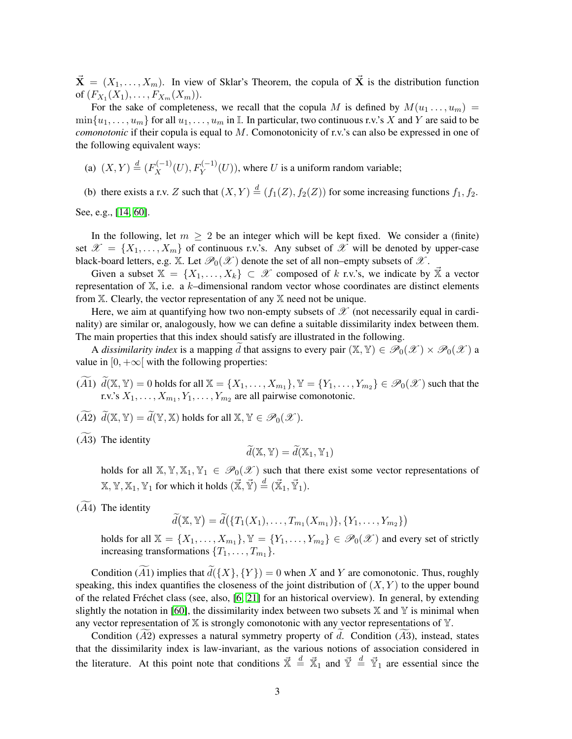$\vec{\mathbf{X}} = (X_1, \ldots, X_m)$ . In view of Sklar's Theorem, the copula of  $\vec{\mathbf{X}}$  is the distribution function of  $(F_{X_1}(X_1),...,F_{X_m}(X_m)).$ 

For the sake of completeness, we recall that the copula M is defined by  $M(u_1 \ldots, u_m)$  =  $\min\{u_1,\ldots,u_m\}$  for all  $u_1,\ldots,u_m$  in I. In particular, two continuous r.v.'s X and Y are said to be *comonotonic* if their copula is equal to M. Comonotonicity of r.v.'s can also be expressed in one of the following equivalent ways:

(a)  $(X, Y) \stackrel{d}{=} (F_X^{(-1)}(U), F_Y^{(-1)}(U))$ , where U is a uniform random variable;

(b) there exists a r.v. Z such that  $(X, Y) \stackrel{d}{=} (f_1(Z), f_2(Z))$  for some increasing functions  $f_1, f_2$ .

See, e.g., [\[14,](#page-24-14) [60\]](#page-25-11).

In the following, let  $m \geq 2$  be an integer which will be kept fixed. We consider a (finite) set  $\mathscr{X} = \{X_1, \ldots, X_m\}$  of continuous r.v.'s. Any subset of  $\mathscr{X}$  will be denoted by upper-case black-board letters, e.g. X. Let  $\mathcal{P}_0(\mathcal{X})$  denote the set of all non–empty subsets of  $\mathcal{X}$ .

Given a subset  $X = \{X_1, \ldots, X_k\} \subset \mathcal{X}$  composed of k r.v.'s, we indicate by  $\overline{X}$  a vector representation of  $X$ , i.e. a k–dimensional random vector whose coordinates are distinct elements from  $X$ . Clearly, the vector representation of any  $X$  need not be unique.

Here, we aim at quantifying how two non-empty subsets of  $\mathscr X$  (not necessarily equal in cardinality) are similar or, analogously, how we can define a suitable dissimilarity index between them. The main properties that this index should satisfy are illustrated in the following.

A *dissimilarity index* is a mapping d that assigns to every pair  $(\mathbb{X}, \mathbb{Y}) \in \mathscr{P}_0(\mathscr{X}) \times \mathscr{P}_0(\mathscr{X})$  a value in  $[0, +\infty]$  with the following properties:

- $(\widetilde{A1})$   $\widetilde{d}(\mathbb{X}, \mathbb{Y}) = 0$  holds for all  $\mathbb{X} = \{X_1, \ldots, X_{m_1}\}, \mathbb{Y} = \{Y_1, \ldots, Y_{m_2}\} \in \mathcal{P}_0(\mathcal{X})$  such that the r.v.'s  $X_1, \ldots, X_{m_1}, Y_1, \ldots, Y_{m_2}$  are all pairwise comonotonic.
- $(\widetilde{A2}) \widetilde{d}(X, Y) = \widetilde{d}(Y, X)$  holds for all  $X, Y \in \mathscr{P}_0(\mathscr{X})$ .
- $(A3)$  The identity

$$
\widetilde{d}(\mathbb{X}, \mathbb{Y}) = \widetilde{d}(\mathbb{X}_1, \mathbb{Y}_1)
$$

holds for all  $\mathbb{X}, \mathbb{Y}, \mathbb{X}_1, \mathbb{Y}_1 \in \mathcal{P}_0(\mathcal{X})$  such that there exist some vector representations of  $\mathbb{X},\mathbb{Y},\mathbb{X}_1,\mathbb{Y}_1$  for which it holds  $(\vec{\mathbb{X}},\vec{\mathbb{Y}})\overset{d}{=}(\vec{\mathbb{X}}_1,\vec{\mathbb{Y}}_1).$ 

 $(A4)$  The identity

 $\widetilde{d}(\mathbb{X}, \mathbb{Y}) = \widetilde{d}(\{T_1(X_1), \ldots, T_{m_1}(X_{m_1})\}, \{Y_1, \ldots, Y_{m_2}\})$ 

holds for all  $\mathbb{X} = \{X_1, \ldots, X_{m_1}\}, \mathbb{Y} = \{Y_1, \ldots, Y_{m_2}\} \in \mathscr{P}_0(\mathscr{X})$  and every set of strictly increasing transformations  $\{T_1, \ldots, T_{m_1}\}.$ 

Condition  $(\widetilde{A1})$  implies that  $\widetilde{d}(\{X\}, \{Y\}) = 0$  when X and Y are comonotonic. Thus, roughly speaking, this index quantifies the closeness of the joint distribution of  $(X, Y)$  to the upper bound of the related Frechet class (see, also, [\[6,](#page-23-5) [21\]](#page-24-16) for an historical overview). In general, by extending ´ slightly the notation in [\[60\]](#page-25-11), the dissimilarity index between two subsets  $X$  and  $Y$  is minimal when any vector representation of  $X$  is strongly comonotonic with any vector representations of  $Y$ .

Condition  $(A2)$  expresses a natural symmetry property of d. Condition  $(A3)$ , instead, states that the dissimilarity index is law-invariant, as the various notions of association considered in the literature. At this point note that conditions  $\vec{x} \stackrel{d}{=} \vec{x}_1$  and  $\vec{y} \stackrel{d}{=} \vec{y}_1$  are essential since the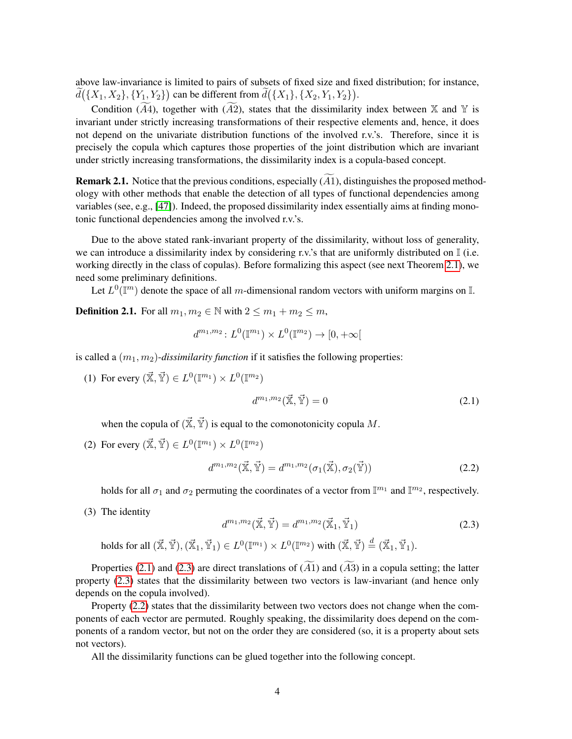above law-invariance is limited to pairs of subsets of fixed size and fixed distribution; for instance,  $d({X_1, X_2}, {Y_1, Y_2})$  can be different from  $d({X_1}, {X_2, Y_1, Y_2}).$ 

Condition ( $\widetilde{A4}$ ), together with ( $\widetilde{A2}$ ), states that the dissimilarity index between X and Y is invariant under strictly increasing transformations of their respective elements and, hence, it does not depend on the univariate distribution functions of the involved r.v.'s. Therefore, since it is precisely the copula which captures those properties of the joint distribution which are invariant under strictly increasing transformations, the dissimilarity index is a copula-based concept.

**Remark 2.1.** Notice that the previous conditions, especially  $(A1)$ , distinguishes the proposed methodology with other methods that enable the detection of all types of functional dependencies among variables (see, e.g., [\[47\]](#page-25-6)). Indeed, the proposed dissimilarity index essentially aims at finding monotonic functional dependencies among the involved r.v.'s.

Due to the above stated rank-invariant property of the dissimilarity, without loss of generality, we can introduce a dissimilarity index by considering r.v.'s that are uniformly distributed on  $\mathbb{I}$  (i.e. working directly in the class of copulas). Before formalizing this aspect (see next Theorem [2.1\)](#page-4-0), we need some preliminary definitions.

Let  $L^0(\mathbb{T}^m)$  denote the space of all m-dimensional random vectors with uniform margins on  $\mathbb{I}$ .

<span id="page-3-3"></span>**Definition 2.1.** For all  $m_1, m_2 \in \mathbb{N}$  with  $2 \le m_1 + m_2 \le m$ ,

$$
d^{m_1, m_2} \colon L^0(\mathbb{I}^{m_1}) \times L^0(\mathbb{I}^{m_2}) \to [0, +\infty[
$$

is called a  $(m_1, m_2)$ -*dissimilarity function* if it satisfies the following properties:

(1) For every  $(\mathbf{\vec{X}}, \mathbf{\vec{Y}}) \in L^0(\mathbb{I}^{m_1}) \times L^0(\mathbb{I}^{m_2})$ 

<span id="page-3-0"></span>
$$
d^{m_1,m_2}(\vec{\mathbf{x}}, \vec{\mathbf{Y}}) = 0 \tag{2.1}
$$

when the copula of  $(\vec{X}, \vec{Y})$  is equal to the comonotonicity copula M.

(2) For every  $(\mathbf{\vec{X}}, \mathbf{\vec{Y}}) \in L^0(\mathbb{I}^{m_1}) \times L^0(\mathbb{I}^{m_2})$ 

<span id="page-3-2"></span>
$$
d^{m_1,m_2}(\vec{\mathbb{X}},\vec{\mathbb{Y}}) = d^{m_1,m_2}(\sigma_1(\vec{\mathbb{X}}),\sigma_2(\vec{\mathbb{Y}}))
$$
\n(2.2)

holds for all  $\sigma_1$  and  $\sigma_2$  permuting the coordinates of a vector from  $\mathbb{I}^{m_1}$  and  $\mathbb{I}^{m_2}$ , respectively.

(3) The identity

<span id="page-3-1"></span>
$$
d^{m_1,m_2}(\vec{\mathbb{X}},\vec{\mathbb{Y}}) = d^{m_1,m_2}(\vec{\mathbb{X}}_1,\vec{\mathbb{Y}}_1)
$$
\n(2.3)

holds for all  $(\vec{\mathbb{X}},\vec{\mathbb{Y}}),(\vec{\mathbb{X}}_1,\vec{\mathbb{Y}}_1)\in L^0(\mathbb{I}^{m_1})\times L^0(\mathbb{I}^{m_2})$  with  $(\vec{\mathbb{X}},\vec{\mathbb{Y}})\overset{d}{=}(\vec{\mathbb{X}}_1,\vec{\mathbb{Y}}_1).$ 

Properties [\(2.1\)](#page-3-0) and [\(2.3\)](#page-3-1) are direct translations of  $(A1)$  and  $(A3)$  in a copula setting; the latter property [\(2.3\)](#page-3-1) states that the dissimilarity between two vectors is law-invariant (and hence only depends on the copula involved).

Property [\(2.2\)](#page-3-2) states that the dissimilarity between two vectors does not change when the components of each vector are permuted. Roughly speaking, the dissimilarity does depend on the components of a random vector, but not on the order they are considered (so, it is a property about sets not vectors).

All the dissimilarity functions can be glued together into the following concept.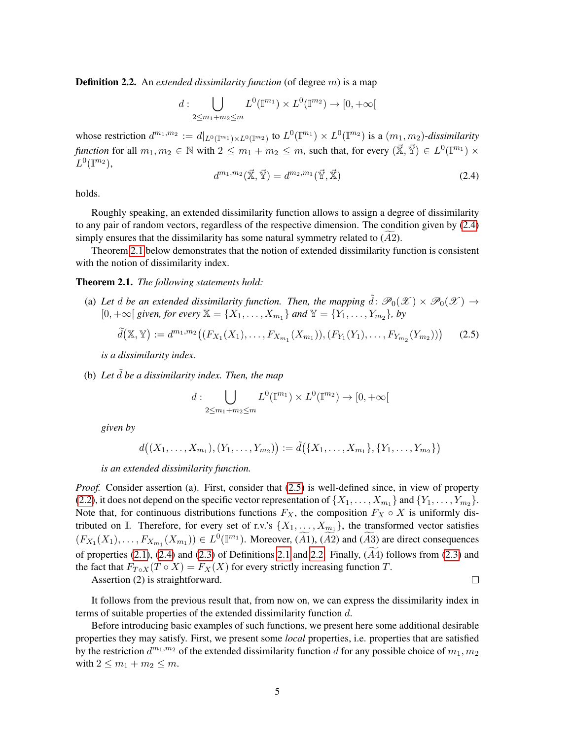<span id="page-4-3"></span>**Definition 2.2.** An *extended dissimilarity function* (of degree m) is a map

$$
d: \bigcup_{2 \le m_1 + m_2 \le m} L^0(\mathbb{I}^{m_1}) \times L^0(\mathbb{I}^{m_2}) \to [0, +\infty[
$$

whose restriction  $d^{m_1,m_2} := d|_{L^0(\mathbb{T}^{m_1}) \times L^0(\mathbb{T}^{m_2})}$  to  $L^0(\mathbb{T}^{m_1}) \times L^0(\mathbb{T}^{m_2})$  is a  $(m_1, m_2)$ -dissimilarity *function* for all  $m_1, m_2 \in \mathbb{N}$  with  $2 \leq m_1 + m_2 \leq m$ , such that, for every  $(\vec{\mathbb{X}}, \vec{\mathbb{Y}}) \in L^0(\mathbb{I}^{m_1}) \times$  $L^0(\mathbb{I}^{m_2}),$ 

<span id="page-4-1"></span>
$$
d^{m_1,m_2}(\vec{\mathbf{x}},\vec{\mathbf{y}}) = d^{m_2,m_1}(\vec{\mathbf{y}},\vec{\mathbf{x}})
$$
\n(2.4)

holds.

Roughly speaking, an extended dissimilarity function allows to assign a degree of dissimilarity to any pair of random vectors, regardless of the respective dimension. The condition given by [\(2.4\)](#page-4-1) simply ensures that the dissimilarity has some natural symmetry related to  $(A2)$ .

Theorem [2.1](#page-4-0) below demonstrates that the notion of extended dissimilarity function is consistent with the notion of dissimilarity index.

#### <span id="page-4-0"></span>Theorem 2.1. *The following statements hold:*

(a) Let d be an extended dissimilarity function. Then, the mapping  $\tilde{d}$ :  $\mathscr{P}_0(\mathscr{X}) \times \mathscr{P}_0(\mathscr{X}) \to$ [0, +∞[ *given, for every*  $X = \{X_1, ..., X_{m_1}\}$  *and*  $Y = \{Y_1, ..., Y_{m_2}\}$ , by

<span id="page-4-2"></span>
$$
\widetilde{d}(\mathbb{X}, \mathbb{Y}) := d^{m_1, m_2}((F_{X_1}(X_1), \dots, F_{X_{m_1}}(X_{m_1})), (F_{Y_1}(Y_1), \dots, F_{Y_{m_2}}(Y_{m_2}))) \tag{2.5}
$$

*is a dissimilarity index.*

(b) Let  $\tilde{d}$  be a dissimilarity index. Then, the map

$$
d: \bigcup_{2 \le m_1 + m_2 \le m} L^0(\mathbb{I}^{m_1}) \times L^0(\mathbb{I}^{m_2}) \to [0, +\infty[
$$

*given by*

$$
d((X_1,\ldots,X_{m_1}),(Y_1,\ldots,Y_{m_2})) := \tilde{d}(\{X_1,\ldots,X_{m_1}\},\{Y_1,\ldots,Y_{m_2}\})
$$

*is an extended dissimilarity function.*

*Proof.* Consider assertion (a). First, consider that [\(2.5\)](#page-4-2) is well-defined since, in view of property [\(2.2\)](#page-3-2), it does not depend on the specific vector representation of  $\{X_1, \ldots, X_{m_1}\}\$  and  $\{Y_1, \ldots, Y_{m_2}\}\$ . Note that, for continuous distributions functions  $F_X$ , the composition  $F_X \circ X$  is uniformly distributed on I. Therefore, for every set of r.v.'s  $\{X_1, \ldots, X_{m_1}\}$ , the transformed vector satisfies  $(F_{X_1}(X_1),...,F_{X_{m_1}}(X_{m_1})) \in L^0(\mathbb{I}^{m_1})$ . Moreover,  $(\widetilde{A1}), (\widetilde{A2})$  and  $(\widetilde{A3})$  are direct consequences of properties  $(2.1)$ ,  $(2.4)$  and  $(2.3)$  of Definitions [2.1](#page-3-3) and [2.2.](#page-4-3) Finally,  $(A4)$  follows from  $(2.3)$  and the fact that  $F_{T \circ X}(T \circ X) = F_X(X)$  for every strictly increasing function T.

Assertion (2) is straightforward.

 $\Box$ 

It follows from the previous result that, from now on, we can express the dissimilarity index in terms of suitable properties of the extended dissimilarity function d.

Before introducing basic examples of such functions, we present here some additional desirable properties they may satisfy. First, we present some *local* properties, i.e. properties that are satisfied by the restriction  $d^{m_1,m_2}$  of the extended dissimilarity function d for any possible choice of  $m_1, m_2$ with  $2 \le m_1 + m_2 \le m$ .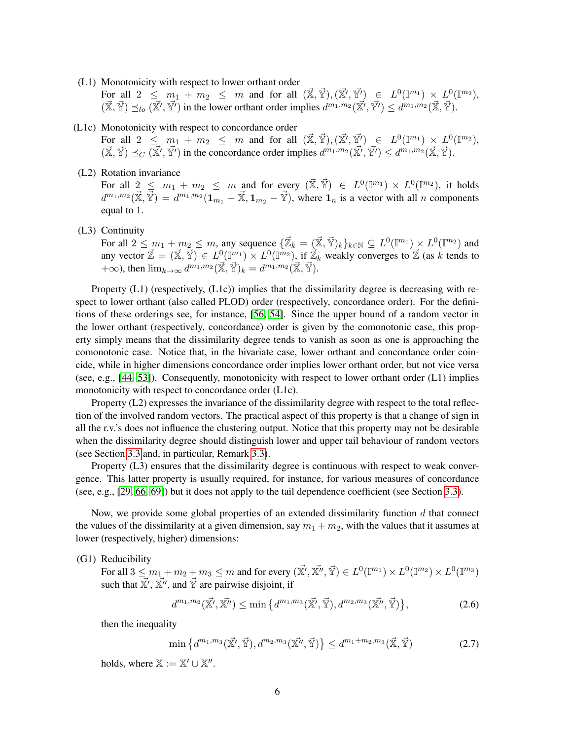(L1) Monotonicity with respect to lower orthant order

For all  $2 \leq m_1 + m_2 \leq m$  and for all  $(\vec{\mathbb{X}}, \vec{\mathbb{Y}}), (\vec{\mathbb{X}'}, \vec{\mathbb{Y}'}) \in L^0(\mathbb{I}^{m_1}) \times L^0(\mathbb{I}^{m_2}),$  $(\vec{\mathbb{X}}, \vec{\mathbb{Y}}) \preceq_{lo} (\vec{\mathbb{X}'}, \vec{\mathbb{Y}'})$  in the lower orthant order implies  $d^{m_1,m_2}(\vec{\mathbb{X}'}, \vec{\mathbb{Y}'}) \leq d^{m_1,m_2}(\vec{\mathbb{X}}, \vec{\mathbb{Y}})$ .

(L1c) Monotonicity with respect to concordance order

For all  $2 \leq m_1 + m_2 \leq m$  and for all  $(\vec{\mathbb{X}}, \vec{\mathbb{Y}}), (\vec{\mathbb{X}'}, \vec{\mathbb{Y}'}) \in L^0(\mathbb{I}^{m_1}) \times L^0(\mathbb{I}^{m_2}),$  $(\vec{\mathbb{X}}, \vec{\mathbb{Y}}) \preceq_C (\vec{\mathbb{X}'}, \vec{\mathbb{Y}'})$  in the concordance order implies  $d^{m_1, m_2}(\vec{\mathbb{X}'}, \vec{\mathbb{Y}'}) \leq d^{m_1, m_2}(\vec{\mathbb{X}}, \vec{\mathbb{Y}})$ .

(L2) Rotation invariance

For all  $2 \leq m_1 + m_2 \leq m$  and for every  $(\vec{\mathbb{X}}, \vec{\mathbb{Y}}) \in L^0(\mathbb{I}^{m_1}) \times L^0(\mathbb{I}^{m_2})$ , it holds  $d^{m_1,m_2}(\vec{\mathbb{X}}, \vec{\mathbb{Y}}) = d^{m_1,m_2}(\mathbf{1}_{m_1} - \vec{\mathbb{X}}, \mathbf{1}_{m_2} - \vec{\mathbb{Y}})$ , where  $\mathbf{1}_n$  is a vector with all n components equal to 1.

(L3) Continuity

For all  $2 \leq m_1 + m_2 \leq m$ , any sequence  $\{\vec{\mathbb{Z}}_k = (\vec{\mathbb{X}}, \vec{\mathbb{Y}})_k\}_{k \in \mathbb{N}} \subseteq L^0(\mathbb{I}^{m_1}) \times L^0(\mathbb{I}^{m_2})$  and any vector  $\vec{Z} = (\vec{X}, \vec{Y}) \in L^0(\mathbb{I}^{m_1}) \times L^0(\mathbb{I}^{m_2})$ , if  $\vec{Z}_k$  weakly converges to  $\vec{Z}$  (as k tends to  $+\infty$ ), then  $\lim_{k\to\infty} d^{m_1,m_2}(\vec{\mathbb{X}}, \vec{\mathbb{Y}})_k = d^{m_1,m_2}(\vec{\mathbb{X}}, \vec{\mathbb{Y}})$ .

Property (L1) (respectively, (L1c)) implies that the dissimilarity degree is decreasing with respect to lower orthant (also called PLOD) order (respectively, concordance order). For the definitions of these orderings see, for instance, [\[56,](#page-25-4) [54\]](#page-25-13). Since the upper bound of a random vector in the lower orthant (respectively, concordance) order is given by the comonotonic case, this property simply means that the dissimilarity degree tends to vanish as soon as one is approaching the comonotonic case. Notice that, in the bivariate case, lower orthant and concordance order coincide, while in higher dimensions concordance order implies lower orthant order, but not vice versa (see, e.g.,  $[44, 53]$  $[44, 53]$ ). Consequently, monotonicity with respect to lower orthant order  $(L1)$  implies monotonicity with respect to concordance order (L1c).

Property (L2) expresses the invariance of the dissimilarity degree with respect to the total reflection of the involved random vectors. The practical aspect of this property is that a change of sign in all the r.v.'s does not influence the clustering output. Notice that this property may not be desirable when the dissimilarity degree should distinguish lower and upper tail behaviour of random vectors (see Section [3.3](#page-17-0) and, in particular, Remark [3.3\)](#page-18-1).

Property (L3) ensures that the dissimilarity degree is continuous with respect to weak convergence. This latter property is usually required, for instance, for various measures of concordance (see, e.g., [\[29,](#page-24-17) [66,](#page-26-1) [69\]](#page-26-2)) but it does not apply to the tail dependence coefficient (see Section [3.3\)](#page-17-0).

Now, we provide some global properties of an extended dissimilarity function  $d$  that connect the values of the dissimilarity at a given dimension, say  $m_1 + m_2$ , with the values that it assumes at lower (respectively, higher) dimensions:

### (G1) Reducibility

For all  $3 \le m_1 + m_2 + m_3 \le m$  and for every  $(\vec{x'}, \vec{x''}, \vec{y'}) \in L^0(\mathbb{I}^{m_1}) \times L^0(\mathbb{I}^{m_2}) \times L^0(\mathbb{I}^{m_3})$ such that  $\vec{x}'$ ,  $\vec{x}''$ , and  $\vec{Y}$  are pairwise disjoint, if

<span id="page-5-1"></span>
$$
d^{m_1,m_2}(\vec{\mathbb{X}'}, \vec{\mathbb{X}''}) \le \min\left\{ d^{m_1,m_3}(\vec{\mathbb{X}'}, \vec{\mathbb{Y}}), d^{m_2,m_3}(\vec{\mathbb{X}''}, \vec{\mathbb{Y}}) \right\},\tag{2.6}
$$

then the inequality

<span id="page-5-0"></span>
$$
\min\left\{d^{m_1,m_3}(\vec{\mathbb{X}'}, \vec{\mathbb{Y}}), d^{m_2,m_3}(\vec{\mathbb{X}''}, \vec{\mathbb{Y}})\right\} \le d^{m_1+m_2,m_3}(\vec{\mathbb{X}}, \vec{\mathbb{Y}}) \tag{2.7}
$$

holds, where  $\mathbb{X} := \mathbb{X}' \cup \mathbb{X}''$ .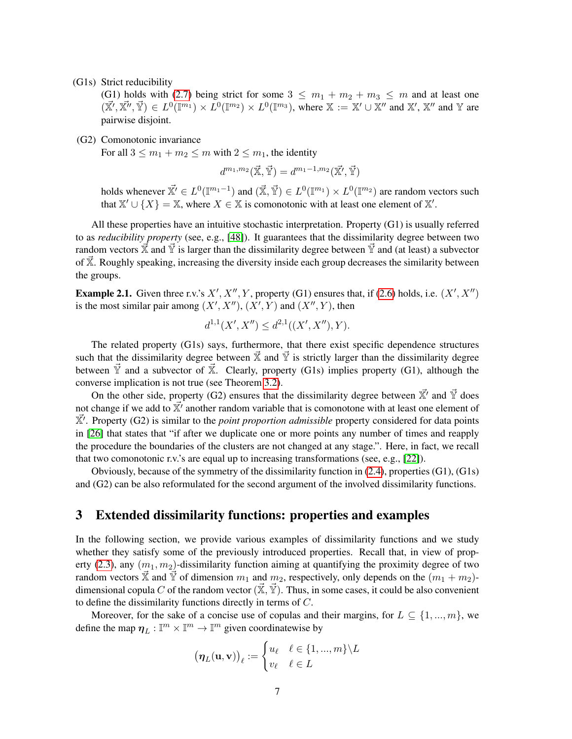(G1s) Strict reducibility

(G1) holds with [\(2.7\)](#page-5-0) being strict for some  $3 \leq m_1 + m_2 + m_3 \leq m$  and at least one  $(\vec{X'}, \vec{X''}, \vec{Y}) \in L^0(\mathbb{I}^{m_1}) \times L^0(\mathbb{I}^{m_2}) \times L^0(\mathbb{I}^{m_3})$ , where  $\mathbb{X} := \mathbb{X'} \cup \mathbb{X''}$  and  $\mathbb{X}', \vec{X''}$  and  $\mathbb{Y}$  are pairwise disjoint.

(G2) Comonotonic invariance

For all  $3 \le m_1 + m_2 \le m$  with  $2 \le m_1$ , the identity

$$
d^{m_1,m_2}(\vec{\mathbb{X}},\vec{\mathbb{Y}})=d^{m_1-1,m_2}(\vec{\mathbb{X}'},\vec{\mathbb{Y}})
$$

holds whenever  $\vec{X'} \in L^0(\mathbb{I}^{m_1-1})$  and  $(\vec{X}, \vec{Y}) \in L^0(\mathbb{I}^{m_1}) \times L^0(\mathbb{I}^{m_2})$  are random vectors such that  $\mathbb{X}' \cup \{X\} = \mathbb{X}$ , where  $X \in \mathbb{X}$  is comonotonic with at least one element of  $\mathbb{X}'$ .

All these properties have an intuitive stochastic interpretation. Property (G1) is usually referred to as *reducibility property* (see, e.g., [\[48\]](#page-25-7)). It guarantees that the dissimilarity degree between two random vectors  $\vec{x}$  and  $\vec{y}$  is larger than the dissimilarity degree between  $\vec{y}$  and (at least) a subvector of  $\overline{X}$ . Roughly speaking, increasing the diversity inside each group decreases the similarity between the groups.

**Example 2.1.** Given three r.v.'s  $X', X'', Y$ , property (G1) ensures that, if [\(2.6\)](#page-5-1) holds, i.e.  $(X', X'')$ is the most similar pair among  $(X', X'')$ ,  $(X', Y)$  and  $(X'', Y)$ , then

$$
d^{1,1}(X', X'') \le d^{2,1}((X', X''), Y).
$$

The related property (G1s) says, furthermore, that there exist specific dependence structures such that the dissimilarity degree between  $\vec{x}$  and  $\vec{y}$  is strictly larger than the dissimilarity degree between  $\check{Y}$  and a subvector of  $\check{X}$ . Clearly, property (G1s) implies property (G1), although the converse implication is not true (see Theorem [3.2\)](#page-9-0).

On the other side, property (G2) ensures that the dissimilarity degree between  $\vec{x}'$  and  $\vec{Y}$  does not change if we add to  $\overline{X}{}'$  another random variable that is comonotone with at least one element of  $\vec{X}'$ . Property (G2) is similar to the *point proportion admissible* property considered for data points in [\[26\]](#page-24-18) that states that "if after we duplicate one or more points any number of times and reapply the procedure the boundaries of the clusters are not changed at any stage.". Here, in fact, we recall that two comonotonic r.v.'s are equal up to increasing transformations (see, e.g., [\[22\]](#page-24-1)).

Obviously, because of the symmetry of the dissimilarity function in [\(2.4\)](#page-4-1), properties (G1), (G1s) and (G2) can be also reformulated for the second argument of the involved dissimilarity functions.

### <span id="page-6-0"></span>3 Extended dissimilarity functions: properties and examples

In the following section, we provide various examples of dissimilarity functions and we study whether they satisfy some of the previously introduced properties. Recall that, in view of prop-erty [\(2.3\)](#page-3-1), any  $(m_1, m_2)$ -dissimilarity function aiming at quantifying the proximity degree of two random vectors  $\vec{\mathbb{X}}$  and  $\vec{\mathbb{Y}}$  of dimension  $m_1$  and  $m_2$ , respectively, only depends on the  $(m_1 + m_2)$ dimensional copula C of the random vector  $(\mathbf{\vec{X}}, \mathbf{\vec{Y}})$ . Thus, in some cases, it could be also convenient to define the dissimilarity functions directly in terms of C.

Moreover, for the sake of a concise use of copulas and their margins, for  $L \subseteq \{1, ..., m\}$ , we define the map  $\eta_L : \mathbb{I}^m \times \mathbb{I}^m \to \mathbb{I}^m$  given coordinatewise by

$$
(\boldsymbol{\eta}_L(\mathbf{u}, \mathbf{v}))_{\ell} := \begin{cases} u_{\ell} & \ell \in \{1, ..., m\} \backslash L \\ v_{\ell} & \ell \in L \end{cases}
$$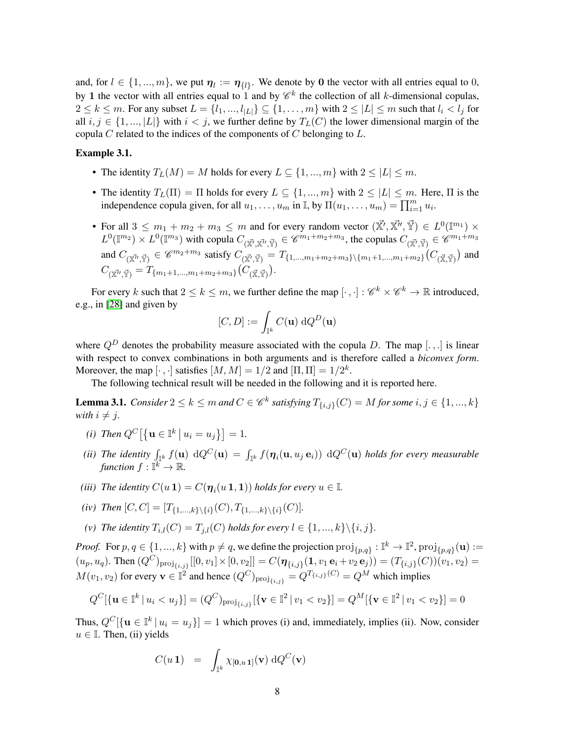and, for  $l \in \{1, ..., m\}$ , we put  $\eta_l := \eta_{\{l\}}$ . We denote by 0 the vector with all entries equal to 0, by 1 the vector with all entries equal to 1 and by  $\mathscr{C}^k$  the collection of all k-dimensional copulas,  $2 \leq k \leq m$ . For any subset  $L = \{l_1, ..., l_{|L|}\} \subseteq \{1, ..., m\}$  with  $2 \leq |L| \leq m$  such that  $l_i < l_j$  for all  $i, j \in \{1, ..., |L|\}$  with  $i < j$ , we further define by  $T_L(C)$  the lower dimensional margin of the copula  $C$  related to the indices of the components of  $C$  belonging to  $L$ .

#### <span id="page-7-1"></span>Example 3.1.

- The identity  $T_L(M) = M$  holds for every  $L \subseteq \{1, ..., m\}$  with  $2 \leq |L| \leq m$ .
- The identity  $T_L(\Pi) = \Pi$  holds for every  $L \subseteq \{1, ..., m\}$  with  $2 \leq |L| \leq m$ . Here,  $\Pi$  is the independence copula given, for all  $u_1, \ldots, u_m$  in  $\mathbb{I}$ , by  $\Pi(u_1, \ldots, u_m) = \prod_{i=1}^m u_i$ .
- For all  $3 \leq m_1 + m_2 + m_3 \leq m$  and for every random vector  $(\vec{x'}, \vec{x''}, \vec{Y}) \in L^0(\mathbb{I}^{m_1}) \times$  $L^0(\mathbb{I}^{m_2}) \times L^0(\mathbb{I}^{m_3})$  with copula  $C_{(\vec{\mathbb{X}'}, \vec{\mathbb{X}'}, \vec{\mathbb{Y}})} \in \mathscr{C}^{m_1+m_2+m_3}$ , the copulas  $C_{(\vec{\mathbb{X}'}, \vec{\mathbb{Y}})} \in \mathscr{C}^{m_1+m_3}$ and  $C_{(\vec{x''}, \vec{Y})} \in \mathscr{C}^{m_2+m_3}$  satisfy  $C_{(\vec{x'}, \vec{Y})} = T_{\{1, ..., m_1+m_2+m_3\}\setminus\{m_1+1, ..., m_1+m_2\}}(C_{(\vec{x}, \vec{Y})})$  and  $C_{(\vec{\mathbb{X}}^{\prime\prime}, \vec{\mathbb{Y}})} = T_{\{m_1+1,\dots,m_1+m_2+m_3\}}(C_{(\vec{\mathbb{X}}, \vec{\mathbb{Y}})}).$

For every k such that  $2 \leq k \leq m$ , we further define the map  $[\cdot, \cdot] : \mathscr{C}^k \times \mathscr{C}^k \to \mathbb{R}$  introduced, e.g., in [\[28\]](#page-24-19) and given by

$$
[C,D]:=\int_{\mathbb{I}^k} C(\mathbf{u}) \; \mathrm{d} Q^D(\mathbf{u})
$$

where  $Q^D$  denotes the probability measure associated with the copula D. The map [...] is linear with respect to convex combinations in both arguments and is therefore called a *biconvex form*. Moreover, the map  $[\cdot, \cdot]$  satisfies  $[M, M] = 1/2$  and  $[\Pi, \Pi] = 1/2^k$ .

The following technical result will be needed in the following and it is reported here.

<span id="page-7-0"></span>**Lemma 3.1.** *Consider*  $2 \le k \le m$  *and*  $C \in \mathscr{C}^k$  *satisfying*  $T_{\{i,j\}}(C) = M$  *for some*  $i, j \in \{1, ..., k\}$ *with*  $i \neq j$ *.* 

- *(i) Then*  $Q^C$   $[\{ \mathbf{u} \in \mathbb{I}^k \mid u_i = u_j \}] = 1$ .
- (*ii*) The identity  $\int_{\mathbb{I}^k} f(\mathbf{u}) \, dQ^C(\mathbf{u}) = \int_{\mathbb{I}^k} f(\eta_i(\mathbf{u}, u_j \mathbf{e}_i)) \, dQ^C(\mathbf{u})$  holds for every measurable function  $f: \mathbb{I}^k \to \mathbb{R}$ .
- *(iii) The identity*  $C(u \mathbf{1}) = C(\boldsymbol{\eta}_i(u \mathbf{1}, \mathbf{1}))$  *holds for every*  $u \in \mathbb{I}$ *.*
- *(iv) Then*  $[C, C] = [T_{\{1, ..., k\}\setminus\{i\}}(C), T_{\{1, ..., k\}\setminus\{i\}}(C)]$ .
- (*v*) *The identity*  $T_{i,l}(C) = T_{j,l}(C)$  *holds for every*  $l \in \{1, ..., k\} \setminus \{i, j\}.$

*Proof.* For  $p, q \in \{1, ..., k\}$  with  $p \neq q$ , we define the projection  $\text{proj}_{\{p,q\}} : \mathbb{I}^k \to \mathbb{I}^2$ ,  $\text{proj}_{\{p,q\}}(\mathbf{u}) :=$  $(u_p, u_q)$ . Then  $(Q^C)_{\text{proj}_{\{i,j\}}}[[0, v_1] \times [0, v_2]] = C(\eta_{\{i,j\}}(1, v_1 \mathbf{e}_i + v_2 \mathbf{e}_j)) = (T_{\{i,j\}}(C))(v_1, v_2) =$  $M(v_1, v_2)$  for every  $\mathbf{v} \in \mathbb{I}^2$  and hence  $(Q^C)_{\text{proj}_{\{i,j\}}} = Q^{T_{\{i,j\}}(C)} = Q^M$  which implies

$$
Q^{C}[\{\mathbf{u} \in \mathbb{I}^{k} \mid u_{i} < u_{j}\}] = (Q^{C})_{\text{proj}_{\{i,j\}}}[\{\mathbf{v} \in \mathbb{I}^{2} \mid v_{1} < v_{2}\}] = Q^{M}[\{\mathbf{v} \in \mathbb{I}^{2} \mid v_{1} < v_{2}\}] = 0
$$

Thus,  $Q^{C}[\{\mathbf{u} \in \mathbb{I}^k | u_i = u_j\}] = 1$  which proves (i) and, immediately, implies (ii). Now, consider  $u \in \mathbb{I}$ . Then, (ii) yields

$$
C(u\,\mathbf{1})\quad =\quad \int_{\mathbb{I}^k} \chi_{[\mathbf{0},u\,\mathbf{1}]}(\mathbf{v})\,\mathrm{d} Q^C(\mathbf{v})
$$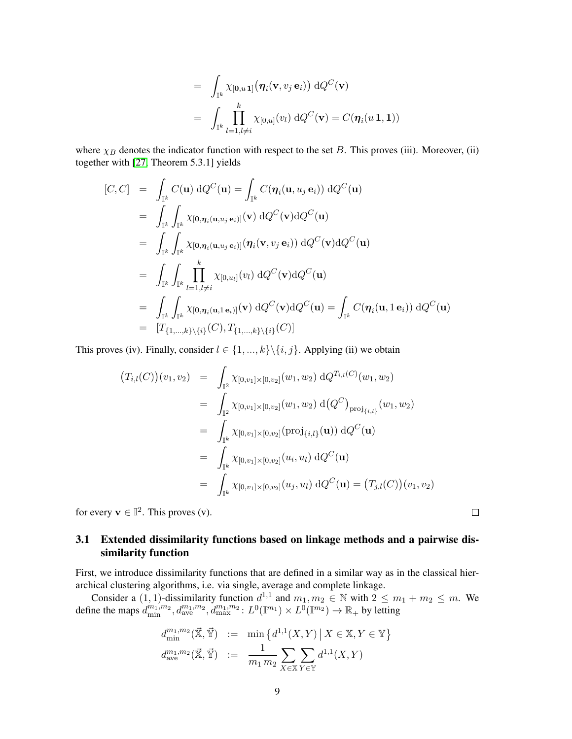$$
= \int_{\mathbb{I}^k} \chi_{[\mathbf{0},u\,\mathbf{1}]}(\boldsymbol{\eta}_i(\mathbf{v},v_j\,\mathbf{e}_i)) \,dQ^C(\mathbf{v})
$$

$$
= \int_{\mathbb{I}^k} \prod_{l=1, l\neq i}^k \chi_{[0,u]}(v_l) \,dQ^C(\mathbf{v}) = C(\boldsymbol{\eta}_i(u\,\mathbf{1},\mathbf{1}))
$$

where  $\chi_B$  denotes the indicator function with respect to the set B. This proves (iii). Moreover, (ii) together with [\[27,](#page-24-20) Theorem 5.3.1] yields

$$
[C, C] = \int_{\mathbb{I}^k} C(\mathbf{u}) dQ^C(\mathbf{u}) = \int_{\mathbb{I}^k} C(\eta_i(\mathbf{u}, u_j \mathbf{e}_i)) dQ^C(\mathbf{u})
$$
  
\n
$$
= \int_{\mathbb{I}^k} \int_{\mathbb{I}^k} \chi_{[\mathbf{0}, \eta_i(\mathbf{u}, u_j \mathbf{e}_i)]}(\mathbf{v}) dQ^C(\mathbf{v}) dQ^C(\mathbf{u})
$$
  
\n
$$
= \int_{\mathbb{I}^k} \int_{\mathbb{I}^k} \chi_{[\mathbf{0}, \eta_i(\mathbf{u}, u_j \mathbf{e}_i)]}(\eta_i(\mathbf{v}, v_j \mathbf{e}_i)) dQ^C(\mathbf{v}) dQ^C(\mathbf{u})
$$
  
\n
$$
= \int_{\mathbb{I}^k} \int_{\mathbb{I}^k} \prod_{l=1, l \neq i}^k \chi_{[\mathbf{0}, u_l]}(v_l) dQ^C(\mathbf{v}) dQ^C(\mathbf{u})
$$
  
\n
$$
= \int_{\mathbb{I}^k} \int_{\mathbb{I}^k} \chi_{[\mathbf{0}, \eta_i(\mathbf{u}, 1\mathbf{e}_i)]}(\mathbf{v}) dQ^C(\mathbf{v}) dQ^C(\mathbf{u}) = \int_{\mathbb{I}^k} C(\eta_i(\mathbf{u}, 1\mathbf{e}_i)) dQ^C(\mathbf{u})
$$
  
\n
$$
= [T_{\{1, \ldots, k\}\setminus\{i\}}(C), T_{\{1, \ldots, k\}\setminus\{i\}}(C)]
$$

This proves (iv). Finally, consider  $l \in \{1, ..., k\} \setminus \{i, j\}$ . Applying (ii) we obtain

$$
(T_{i,l}(C))(v_1, v_2) = \int_{\mathbb{T}^2} \chi_{[0,v_1] \times [0,v_2]}(w_1, w_2) dQ^{T_{i,l}(C)}(w_1, w_2)
$$
  
\n
$$
= \int_{\mathbb{T}^2} \chi_{[0,v_1] \times [0,v_2]}(w_1, w_2) d(Q^C)_{\text{proj}_{\{i,l\}}}(w_1, w_2)
$$
  
\n
$$
= \int_{\mathbb{T}^k} \chi_{[0,v_1] \times [0,v_2]}(\text{proj}_{\{i,l\}}(\mathbf{u})) dQ^C(\mathbf{u})
$$
  
\n
$$
= \int_{\mathbb{T}^k} \chi_{[0,v_1] \times [0,v_2]}(u_i, u_l) dQ^C(\mathbf{u})
$$
  
\n
$$
= \int_{\mathbb{T}^k} \chi_{[0,v_1] \times [0,v_2]}(u_j, u_l) dQ^C(\mathbf{u}) = (T_{j,l}(C))(v_1, v_2)
$$

for every  $\mathbf{v} \in \mathbb{I}^2$ . This proves (v).

### 3.1 Extended dissimilarity functions based on linkage methods and a pairwise dissimilarity function

First, we introduce dissimilarity functions that are defined in a similar way as in the classical hierarchical clustering algorithms, i.e. via single, average and complete linkage.

Consider a  $(1, 1)$ -dissimilarity function  $d^{1,1}$  and  $m_1, m_2 \in \mathbb{N}$  with  $2 \le m_1 + m_2 \le m$ . We define the maps  $d_{\min}^{m_1,m_2}$ ,  $d_{\text{ave}}^{m_1,m_2}$ ,  $d_{\max}^{m_1,m_2}$ :  $L^0(\mathbb{I}^{m_1}) \times L^0(\mathbb{I}^{m_2}) \to \mathbb{R}_+$  by letting

$$
d_{\min}^{m_1, m_2}(\vec{\mathbf{x}}, \vec{\mathbf{Y}}) := \min \{ d^{1,1}(X, Y) \, | \, X \in \mathbb{X}, Y \in \mathbb{Y} \}
$$

$$
d_{\text{ave}}^{m_1, m_2}(\vec{\mathbf{x}}, \vec{\mathbf{Y}}) := \frac{1}{m_1 \, m_2} \sum_{X \in \mathbb{X}} \sum_{Y \in \mathbb{Y}} d^{1,1}(X, Y)
$$

 $\Box$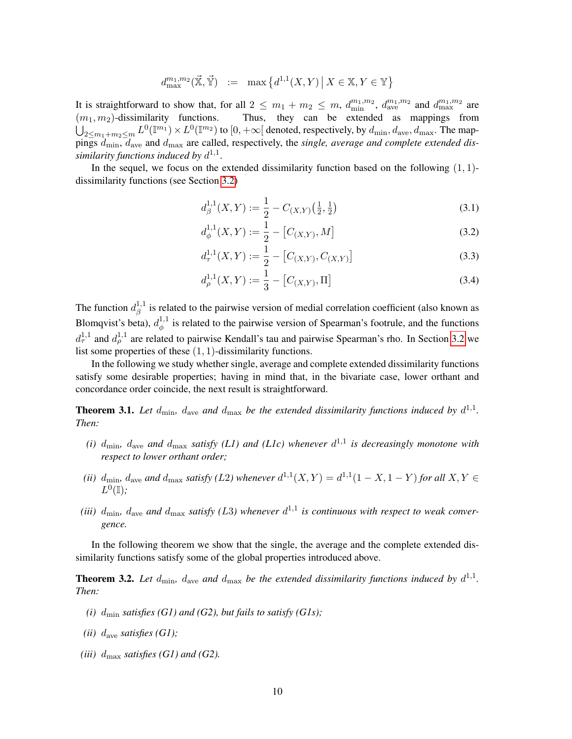$$
d^{m_1,m_2}_{\max}(\vec{\mathbb{X}},\vec{\mathbb{Y}}) \ := \ \max\left\{d^{1,1}(X,Y) \,\middle|\, X \in \mathbb{X}, Y \in \mathbb{Y}\right\}
$$

It is straightforward to show that, for all  $2 \leq m_1 + m_2 \leq m$ ,  $d_{\min}^{m_1,m_2}$ ,  $d_{\text{ave}}^{m_1,m_2}$  and  $d_{\max}^{m_1,m_2}$  are  $(m_1, m_2)$ -dissimilarity functions. Thus, they can be extended as mappings from  $\bigcup_{2\leq m_1+m_2\leq m} L^0(\mathbb I^{m_1})\times L^0(\mathbb I^{m_2})$  to  $[0,+\infty[$  denoted, respectively, by  $d_{\min},d_{\rm ave},d_{\max}$ . The mappings  $d_{\text{min}}$ ,  $d_{\text{ave}}$  and  $d_{\text{max}}$  are called, respectively, the *single, average and complete extended dis*similarity functions induced by  $d^{1,1}$ .

In the sequel, we focus on the extended dissimilarity function based on the following  $(1, 1)$ dissimilarity functions (see Section [3.2\)](#page-13-0)

<span id="page-9-1"></span>
$$
d_{\beta}^{1,1}(X,Y) := \frac{1}{2} - C_{(X,Y)}\left(\frac{1}{2}, \frac{1}{2}\right) \tag{3.1}
$$

<span id="page-9-2"></span>
$$
d_{\phi}^{1,1}(X,Y) := \frac{1}{2} - [C_{(X,Y)}, M] \tag{3.2}
$$

<span id="page-9-3"></span>
$$
d_{\tau}^{1,1}(X,Y) := \frac{1}{2} - [C_{(X,Y)}, C_{(X,Y)}]
$$
\n(3.3)

<span id="page-9-4"></span>
$$
d_{\rho}^{1,1}(X,Y) := \frac{1}{3} - [C_{(X,Y)}, \Pi]
$$
\n(3.4)

The function  $d_{\beta}^{1,1}$  $\beta$ <sup>1,1</sup> is related to the pairwise version of medial correlation coefficient (also known as Blomqvist's beta),  $d_{\phi}^{1,1}$  $\phi_{\phi}^{1,1}$  is related to the pairwise version of Spearman's footrule, and the functions  $d_{\tau}^{1,1}$  and  $d_{\rho}^{1,1}$  are related to pairwise Kendall's tau and pairwise Spearman's rho. In Section [3.2](#page-13-0) we list some properties of these (1, 1)-dissimilarity functions.

In the following we study whether single, average and complete extended dissimilarity functions satisfy some desirable properties; having in mind that, in the bivariate case, lower orthant and concordance order coincide, the next result is straightforward.

<span id="page-9-5"></span>**Theorem 3.1.** Let  $d_{\min}$ ,  $d_{\text{ave}}$  and  $d_{\max}$  be the extended dissimilarity functions induced by  $d^{1,1}$ . *Then:*

- (*i*)  $d_{\text{min}}$ ,  $d_{\text{ave}}$  and  $d_{\text{max}}$  satisfy (L1) and (L1c) whenever  $d^{1,1}$  is decreasingly monotone with *respect to lower orthant order;*
- (*ii*)  $d_{\text{min}}$ ,  $d_{\text{ave}}$  and  $d_{\text{max}}$  satisfy (L2) whenever  $d^{1,1}(X,Y) = d^{1,1}(1-X,1-Y)$  for all  $X,Y \in$  $L^0(\mathbb{I})$ ;
- (*iii*)  $d_{\text{min}}$ ,  $d_{\text{ave}}$  and  $d_{\text{max}}$  satisfy (L3) whenever  $d^{1,1}$  is continuous with respect to weak conver*gence.*

In the following theorem we show that the single, the average and the complete extended dissimilarity functions satisfy some of the global properties introduced above.

<span id="page-9-0"></span>**Theorem 3.2.** Let  $d_{\text{min}}$ ,  $d_{\text{ave}}$  and  $d_{\text{max}}$  be the extended dissimilarity functions induced by  $d^{1,1}$ . *Then:*

- *(i)*  $d_{\text{min}}$  *satisfies (G1) and (G2), but fails to satisfy (G1s);*
- *(ii)* dave *satisfies (G1);*
- *(iii)*  $d_{\text{max}}$  *satisfies (G1) and (G2)*.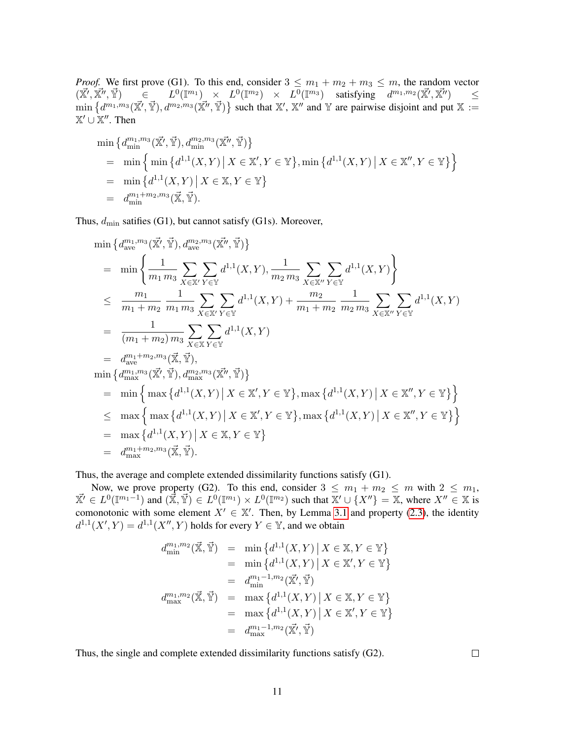*Proof.* We first prove (G1). To this end, consider  $3 \le m_1 + m_2 + m_3 \le m$ , the random vector  $(\vec{X'}, \vec{X''})$  $\begin{array}{rclcl} (\vec{\mathbb{Y}})&\in &L^0(\mathbb{I}^{m_1})&\times &L^0(\mathbb{I}^{m_2})&\times &L^0(\mathbb{I}^{m_3})&\text{ satisfying}&d^{m_1,m_2}(\vec{\mathbb{X}'},\vec{\mathbb{X}''})&\leq\ \end{array}$  $\min \{ d^{m_1,m_3}(\vec{X'}, \vec{Y}), d^{m_2,m_3}(\vec{X''}, \vec{Y}) \}$  such that X', X'' and Y are pairwise disjoint and put X :=  $\mathbb{X}' \cup \mathbb{X}''$ . Then

$$
\begin{aligned}\n\min \left\{ d_{\min}^{m_1, m_3}(\vec{\mathbb{X}'}, \vec{\mathbb{Y}}), d_{\min}^{m_2, m_3}(\vec{\mathbb{X}''}, \vec{\mathbb{Y}}) \right\} \\
&= \min \left\{ \min \left\{ d^{1,1}(X, Y) \, \big| \, X \in \mathbb{X}', Y \in \mathbb{Y} \right\}, \min \left\{ d^{1,1}(X, Y) \, \big| \, X \in \mathbb{X}'', Y \in \mathbb{Y} \right\} \right\} \\
&= \min \left\{ d^{1,1}(X, Y) \, \big| \, X \in \mathbb{X}, Y \in \mathbb{Y} \right\} \\
&= d_{\min}^{m_1 + m_2, m_3}(\vec{\mathbb{X}}, \vec{\mathbb{Y}}).\n\end{aligned}
$$

Thus,  $d_{\min}$  satifies (G1), but cannot satisfy (G1s). Moreover,

$$
\min \left\{ d_{ave}^{m_1, m_3}(\vec{X'}, \vec{Y}), d_{ave}^{m_2, m_3}(\vec{X''}, \vec{Y}) \right\}
$$
\n
$$
= \min \left\{ \frac{1}{m_1 m_3} \sum_{X \in \mathbb{X'}} \sum_{Y \in \mathbb{Y}} d^{1,1}(X, Y), \frac{1}{m_2 m_3} \sum_{X \in \mathbb{X'}} \sum_{Y \in \mathbb{Y}} d^{1,1}(X, Y) \right\}
$$
\n
$$
\leq \frac{m_1}{m_1 + m_2} \frac{1}{m_1 m_3} \sum_{X \in \mathbb{X'}} \sum_{Y \in \mathbb{Y}} d^{1,1}(X, Y) + \frac{m_2}{m_1 + m_2} \frac{1}{m_2 m_3} \sum_{X \in \mathbb{X'}} \sum_{Y \in \mathbb{Y}} d^{1,1}(X, Y)
$$
\n
$$
= \frac{1}{(m_1 + m_2) m_3} \sum_{X \in \mathbb{X}} \sum_{Y \in \mathbb{Y}} d^{1,1}(X, Y)
$$
\n
$$
= d_{ave}^{m_1 + m_2, m_3}(\vec{X}, \vec{Y}),
$$
\n
$$
\min \left\{ d_{max}^{m_1, m_3}(\vec{X'}, \vec{Y}), d_{max}^{m_2, m_3}(\vec{X''}, \vec{Y}) \right\}
$$
\n
$$
= \min \left\{ \max \left\{ d^{1,1}(X, Y) \mid X \in \mathbb{X'}, Y \in \mathbb{Y} \right\}, \max \left\{ d^{1,1}(X, Y) \mid X \in \mathbb{X''}, Y \in \mathbb{Y} \right\} \right\}
$$
\n
$$
\leq \max \left\{ \max \left\{ d^{1,1}(X, Y) \mid X \in \mathbb{X'}, Y \in \mathbb{Y} \right\}, \max \left\{ d^{1,1}(X, Y) \mid X \in \mathbb{X''}, Y \in \mathbb{Y} \right\} \right\}
$$
\n
$$
= \max \left\{ d^{1,1}(X, Y) \mid X \in \mathbb{X}, Y \in \mathbb{Y} \right\}
$$
\n
$$
= d_{max}^{m_1 + m_2, m_3}(\vec{\mathbb{X}}, \vec{\math
$$

Thus, the average and complete extended dissimilarity functions satisfy (G1).

Now, we prove property (G2). To this end, consider  $3 \leq m_1 + m_2 \leq m$  with  $2 \leq m_1$ ,  $\vec{X'} \in L^0(\mathbb{I}^{m_1-1})$  and  $(\vec{\tilde{X}}, \vec{Y}) \in L^0(\mathbb{I}^{m_1}) \times L^0(\mathbb{I}^{m_2})$  such that  $X' \cup \{X''\} = \mathbb{X}$ , where  $X'' \in \mathbb{X}$  is comonotonic with some element  $X' \in \mathbb{X}'$ . Then, by Lemma [3.1](#page-7-0) and property [\(2.3\)](#page-3-1), the identity  $d^{1,1}(X', Y) = d^{1,1}(X'', Y)$  holds for every  $Y \in \mathbb{Y}$ , and we obtain

$$
d_{\min}^{m_1, m_2}(\vec{\mathbb{X}}, \vec{\mathbb{Y}}) = \min \left\{ d^{1,1}(X, Y) \, \middle| \, X \in \mathbb{X}, Y \in \mathbb{Y} \right\}
$$

$$
= \min \left\{ d^{1,1}(X, Y) \, \middle| \, X \in \mathbb{X}', Y \in \mathbb{Y} \right\}
$$

$$
= d_{\min}^{m_1 - 1, m_2}(\vec{\mathbb{X}}, \vec{\mathbb{Y}})
$$

$$
d_{\max}^{m_1, m_2}(\vec{\mathbb{X}}, \vec{\mathbb{Y}}) = \max \left\{ d^{1,1}(X, Y) \, \middle| \, X \in \mathbb{X}, Y \in \mathbb{Y} \right\}
$$

$$
= \max \left\{ d^{1,1}(X, Y) \, \middle| \, X \in \mathbb{X}', Y \in \mathbb{Y} \right\}
$$

$$
= d_{\max}^{m_1 - 1, m_2}(\vec{\mathbb{X}'}, \vec{\mathbb{Y}})
$$

Thus, the single and complete extended dissimilarity functions satisfy (G2).

 $\Box$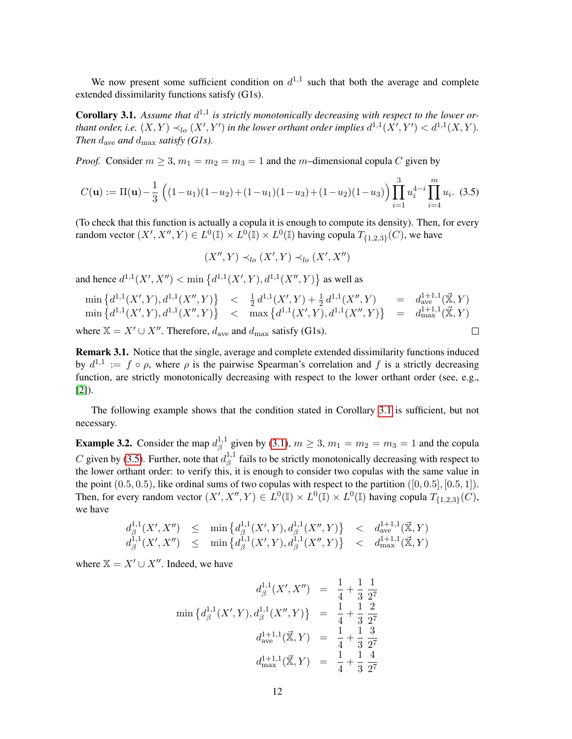We now present some sufficient condition on  $d^{1,1}$  such that both the average and complete extended dissimilarity functions satisfy (G1s).

<span id="page-11-0"></span>**Corollary 3.1.** Assume that  $d^{1,1}$  is strictly monotonically decreasing with respect to the lower orthant order, i.e.  $(X, Y) \prec_{lo} (X', Y')$  in the lower orthant order implies  $d^{1,1}(X', Y') < d^{1,1}(X, Y)$ . *Then*  $d_{\text{ave}}$  *and*  $d_{\text{max}}$  *satisfy* (*G1s*).

*Proof.* Consider  $m \ge 3$ ,  $m_1 = m_2 = m_3 = 1$  and the m-dimensional copula C given by

<span id="page-11-1"></span>
$$
C(\mathbf{u}) := \Pi(\mathbf{u}) - \frac{1}{3} \left( (1 - u_1)(1 - u_2) + (1 - u_1)(1 - u_3) + (1 - u_2)(1 - u_3) \right) \prod_{i=1}^{3} u_i^{4-i} \prod_{i=4}^{m} u_i.
$$
 (3.5)

(To check that this function is actually a copula it is enough to compute its density). Then, for every random vector  $(X', X'', Y) \in L^0(\mathbb{I}) \times L^0(\mathbb{I}) \times L^0(\mathbb{I})$  having copula  $T_{\{1,2,3\}}(C)$ , we have

$$
(X'', Y) \prec_{lo} (X', Y) \prec_{lo} (X', X'')
$$

and hence  $d^{1,1}(X', X'') < \min \{d^{1,1}(X', Y), d^{1,1}(X'', Y)\}$  as well as

$$
\min \left\{ d^{1,1}(X',Y), d^{1,1}(X'',Y) \right\} < \frac{1}{2} d^{1,1}(X',Y) + \frac{1}{2} d^{1,1}(X'',Y) = d_{ave}^{1+1,1}(\vec{\mathbb{X}}, Y)
$$
\n
$$
\min \left\{ d^{1,1}(X',Y), d^{1,1}(X'',Y) \right\} < \max \left\{ d^{1,1}(X',Y), d^{1,1}(X'',Y) \right\} = d_{max}^{1+1,1}(\vec{\mathbb{X}}, Y)
$$
\n
$$
\text{where } \mathbb{X} = X' \cup X''. \text{ Therefore, } d_{ave} \text{ and } d_{max} \text{ satisfy (G1s)}.
$$

where  $X = X' \cup X''$ . Therefore,  $d_{ave}$  and  $d_{max}$  satisfy (G1s).

Remark 3.1. Notice that the single, average and complete extended dissimilarity functions induced by  $d^{1,1} := f \circ \rho$ , where  $\rho$  is the pairwise Spearman's correlation and f is a strictly decreasing function, are strictly monotonically decreasing with respect to the lower orthant order (see, e.g., [\[2\]](#page-23-6)).

The following example shows that the condition stated in Corollary [3.1](#page-11-0) is sufficient, but not necessary.

**Example 3.2.** Consider the map  $d_{\beta}^{1,1}$  $\beta_{\beta}^{1,1}$  given by [\(3.1\)](#page-9-1),  $m \ge 3$ ,  $m_1 = m_2 = m_3 = 1$  and the copula C given by [\(3.5\)](#page-11-1). Further, note that  $d_{\beta}^{1,1}$  $\beta$ <sup>1,1</sup> fails to be strictly monotonically decreasing with respect to the lower orthant order: to verify this, it is enough to consider two copulas with the same value in the point  $(0.5, 0.5)$ , like ordinal sums of two copulas with respect to the partition  $([0, 0.5], [0.5, 1])$ . Then, for every random vector  $(X', X'', Y) \in L^0(\mathbb{I}) \times L^0(\mathbb{I}) \times L^0(\mathbb{I})$  having copula  $T_{\{1,2,3\}}(C)$ , we have

$$
d_{\beta}^{1,1}(X', X'') \leq \min \{ d_{\beta}^{1,1}(X', Y), d_{\beta}^{1,1}(X'', Y) \} < d_{\text{ave}}^{1+1,1}(\vec{\mathbf{x}}, Y) d_{\beta}^{1,1}(X', X'') \leq \min \{ d_{\beta}^{1,1}(X', Y), d_{\beta}^{1,1}(X'', Y) \} < d_{\text{max}}^{1+1,1}(\vec{\mathbf{x}}, Y)
$$

where  $X = X' \cup X''$ . Indeed, we have

$$
d_{\beta}^{1,1}(X', X'') = \frac{1}{4} + \frac{1}{3} \frac{1}{2^{7}}
$$
  

$$
\min \{d_{\beta}^{1,1}(X', Y), d_{\beta}^{1,1}(X'', Y)\} = \frac{1}{4} + \frac{1}{3} \frac{2}{2^{7}}
$$
  

$$
d_{ave}^{1+1,1}(\vec{\mathbf{x}}, Y) = \frac{1}{4} + \frac{1}{3} \frac{3}{2^{7}}
$$
  

$$
d_{max}^{1+1,1}(\vec{\mathbf{x}}, Y) = \frac{1}{4} + \frac{1}{3} \frac{4}{2^{7}}
$$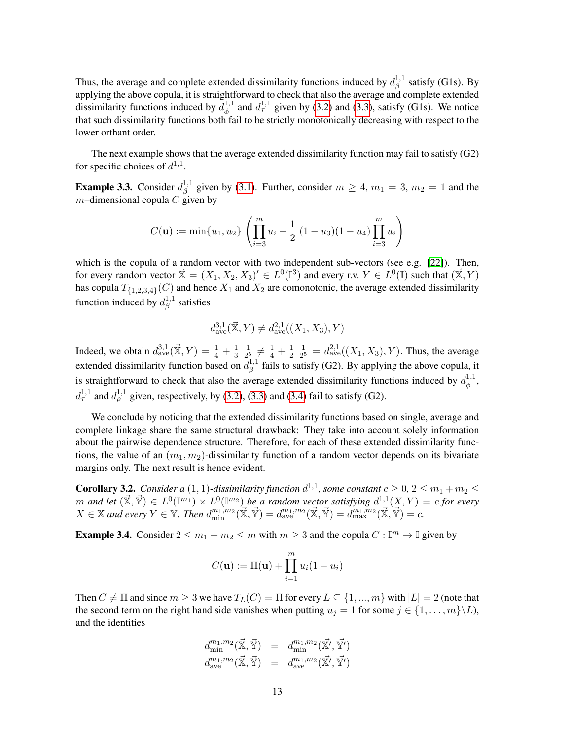Thus, the average and complete extended dissimilarity functions induced by  $d_{\beta}^{1,1}$  $\frac{1}{\beta}$  satisfy (G1s). By applying the above copula, it is straightforward to check that also the average and complete extended dissimilarity functions induced by  $d_{\phi}^{1,1}$  $\phi_{\phi}^{1,1}$  and  $d_{\tau}^{1,1}$  given by [\(3.2\)](#page-9-2) and [\(3.3\)](#page-9-3), satisfy (G1s). We notice that such dissimilarity functions both fail to be strictly monotonically decreasing with respect to the lower orthant order.

The next example shows that the average extended dissimilarity function may fail to satisfy (G2) for specific choices of  $d^{1,1}$ .

**Example 3.3.** Consider  $d_{\beta}^{1,1}$  $\beta_{\beta}^{1,1}$  given by [\(3.1\)](#page-9-1). Further, consider  $m \geq 4$ ,  $m_1 = 3$ ,  $m_2 = 1$  and the  $m$ –dimensional copula C given by

$$
C(\mathbf{u}) := \min\{u_1, u_2\} \left( \prod_{i=3}^m u_i - \frac{1}{2} (1 - u_3)(1 - u_4) \prod_{i=3}^m u_i \right)
$$

which is the copula of a random vector with two independent sub-vectors (see e.g. [\[22\]](#page-24-1)). Then, for every random vector  $\vec{X} = (X_1, X_2, X_3)' \in L^0(\mathbb{I}^3)$  and every r.v.  $Y \in L^0(\mathbb{I})$  such that  $(\vec{X}, Y)$ has copula  $T_{\{1,2,3,4\}}(C)$  and hence  $X_1$  and  $X_2$  are comonotonic, the average extended dissimilarity function induced by  $d_{\beta}^{1,1}$  $\beta^{\scriptscriptstyle{1,1}}$  satisfies

$$
d_{\rm ave}^{3,1}(\vec{\mathbb X},Y)\neq d_{\rm ave}^{2,1}((X_1,X_3),Y)
$$

Indeed, we obtain  $d_{ave}^{3,1}(\vec{X}, Y) = \frac{1}{4} + \frac{1}{3}$ 3 1  $\frac{1}{2^5} \neq \frac{1}{4} + \frac{1}{2}$  $\overline{2}$ 1  $\frac{1}{2^5} = d_{\text{ave}}^{2,1}((X_1, X_3), Y)$ . Thus, the average extended dissimilarity function based on  $d_0^{1,1}$  $\beta$ <sup>1,1</sup> fails to satisfy (G2). By applying the above copula, it is straightforward to check that also the average extended dissimilarity functions induced by  $d_{\phi}^{1,1}$  $\overset{\scriptscriptstyle1}{\phi}$  ,  $d_{\tau}^{1,1}$  and  $d_{\rho}^{1,1}$  given, respectively, by [\(3.2\)](#page-9-2), [\(3.3\)](#page-9-3) and [\(3.4\)](#page-9-4) fail to satisfy (G2).

We conclude by noticing that the extended dissimilarity functions based on single, average and complete linkage share the same structural drawback: They take into account solely information about the pairwise dependence structure. Therefore, for each of these extended dissimilarity functions, the value of an  $(m_1, m_2)$ -dissimilarity function of a random vector depends on its bivariate margins only. The next result is hence evident.

**Corollary 3.2.** Consider a  $(1, 1)$ -dissimilarity function  $d^{1,1}$ , some constant  $c \geq 0$ ,  $2 \leq m_1 + m_2 \leq$  $m$  and let  $(\vec{X}, \vec{Y}) \in L^0(\mathbb{I}^{m_1}) \times L^0(\mathbb{I}^{m_2})$  be a random vector satisfying  $d^{1,1}(X, Y) = c$  for every  $X \in \mathbb{X}$  and every  $Y \in \mathbb{Y}$ . Then  $d_{\min}^{m_1,m_2}(\mathbb{X}, \mathbb{Y}) = d_{\text{ave}}^{m_1,m_2}(\mathbb{X}, \mathbb{Y}) = d_{\max}^{m_1,m_2}(\mathbb{X}, \mathbb{Y}) = c$ .

**Example 3.4.** Consider  $2 \le m_1 + m_2 \le m$  with  $m \ge 3$  and the copula  $C : \mathbb{I}^m \to \mathbb{I}$  given by

$$
C(\mathbf{u}) := \Pi(\mathbf{u}) + \prod_{i=1}^{m} u_i (1 - u_i)
$$

Then  $C \neq \Pi$  and since  $m \geq 3$  we have  $T_L(C) = \Pi$  for every  $L \subseteq \{1, ..., m\}$  with  $|L| = 2$  (note that the second term on the right hand side vanishes when putting  $u_j = 1$  for some  $j \in \{1, \ldots, m\} \backslash L$ , and the identities

$$
d_{\min}^{m_1,m_2}(\vec{\mathbb{X}}, \vec{\mathbb{Y}}) = d_{\min}^{m_1,m_2}(\vec{\mathbb{X}'}, \vec{\mathbb{Y}'})
$$
  

$$
d_{\text{ave}}^{m_1,m_2}(\vec{\mathbb{X}}, \vec{\mathbb{Y}}) = d_{\text{ave}}^{m_1,m_2}(\vec{\mathbb{X}'}, \vec{\mathbb{Y}'})
$$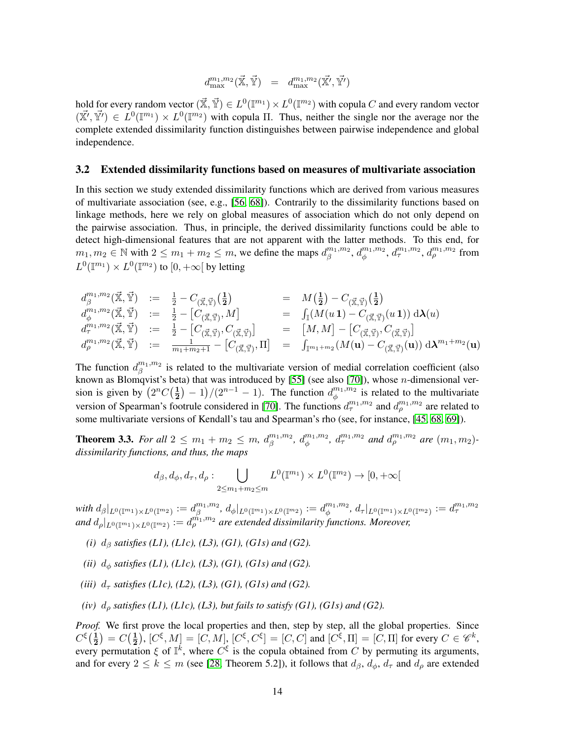$$
d^{m_1,m_2}_{\max}(\vec{\mathbb{X}},\vec{\mathbb{Y}}) \quad = \quad d^{m_1,m_2}_{\max}(\vec{\mathbb{X}'},\vec{\mathbb{Y}'})
$$

hold for every random vector  $(\vec{\mathbb{X}},\vec{\mathbb{Y}})\in L^0(\mathbb{I}^{m_1})\times L^0(\mathbb{I}^{m_2})$  with copula  $C$  and every random vector  $(\vec{X'}, \vec{Y'}) \in L^0(\mathbb{I}^{m_1}) \times L^0(\mathbb{I}^{m_2})$  with copula  $\Pi$ . Thus, neither the single nor the average nor the complete extended dissimilarity function distinguishes between pairwise independence and global independence.

#### <span id="page-13-0"></span>3.2 Extended dissimilarity functions based on measures of multivariate association

In this section we study extended dissimilarity functions which are derived from various measures of multivariate association (see, e.g., [\[56,](#page-25-4) [68\]](#page-26-3)). Contrarily to the dissimilarity functions based on linkage methods, here we rely on global measures of association which do not only depend on the pairwise association. Thus, in principle, the derived dissimilarity functions could be able to detect high-dimensional features that are not apparent with the latter methods. To this end, for  $m_1, m_2 \in \mathbb{N}$  with  $2 \le m_1 + m_2 \le m$ , we define the maps  $d_{\beta}^{m_1, m_2}$  $\int_{\beta}^{m_1,m_2}$ ,  $d_{\phi}^{m_1,m_2}$  $_{\phi }^{m_{1},m_{2}},$   $d_{\tau }^{m_{1},m_{2}},$   $d_{\rho }^{m_{1},m_{2}}$  from  $L^0(\mathbb{T}^{m_1}) \times L^0(\mathbb{T}^{m_2})$  to  $[0, +\infty[$  by letting

$$
d_{\beta}^{m_1,m_2}(\vec{\mathbb{X}},\vec{\mathbb{Y}}) := \frac{1}{2} - C_{(\vec{\mathbb{X}},\vec{\mathbb{Y}})}(\frac{1}{2}) = M(\frac{1}{2}) - C_{(\vec{\mathbb{X}},\vec{\mathbb{Y}})}(\frac{1}{2})
$$
  
\n
$$
d_{\phi}^{m_1,m_2}(\vec{\mathbb{X}},\vec{\mathbb{Y}}) := \frac{1}{2} - [C_{(\vec{\mathbb{X}},\vec{\mathbb{Y}})},M] = \int_{\mathbb{T}} (M(u\,\mathbf{1}) - C_{(\vec{\mathbb{X}},\vec{\mathbb{Y}})}(u\,\mathbf{1})) \,d\lambda(u)
$$
  
\n
$$
d_{\tau}^{m_1,m_2}(\vec{\mathbb{X}},\vec{\mathbb{Y}}) := \frac{1}{2} - [C_{(\vec{\mathbb{X}},\vec{\mathbb{Y}})},C_{(\vec{\mathbb{X}},\vec{\mathbb{Y}})}] = [M,M] - [C_{(\vec{\mathbb{X}},\vec{\mathbb{Y}})},C_{(\vec{\mathbb{X}},\vec{\mathbb{Y}})}]
$$
  
\n
$$
d_{\rho}^{m_1,m_2}(\vec{\mathbb{X}},\vec{\mathbb{Y}}) := \frac{1}{m_1 + m_2 + 1} - [C_{(\vec{\mathbb{X}},\vec{\mathbb{Y}})},\Pi] = \int_{\mathbb{T}^{m_1 + m_2}} (M(\mathbf{u}) - C_{(\vec{\mathbb{X}},\vec{\mathbb{Y}})}(\mathbf{u})) \,d\lambda^{m_1 + m_2}(\mathbf{u})
$$

The function  $d_A^{m_1,m_2}$  $\beta^{m_1,m_2}$  is related to the multivariate version of medial correlation coefficient (also known as Blomqvist's beta) that was introduced by  $[55]$  (see also  $[70]$ ), whose *n*-dimensional version is given by  $\left(2^n C\left(\frac{1}{2}\right)\right)$  $(\frac{1}{2}) - 1)/(2^{n-1} - 1)$ . The function  $d_{\phi}^{m_1, m_2}$  $\psi_{\phi}^{m_1,m_2}$  is related to the multivariate version of Spearman's footrule considered in [\[70\]](#page-26-4). The functions  $d_{\tau}^{m_1,m_2}$  and  $d_{\rho}^{m_1,m_2}$  are related to some multivariate versions of Kendall's tau and Spearman's rho (see, for instance, [\[45,](#page-25-2) [68,](#page-26-3) [69\]](#page-26-2)).

<span id="page-13-1"></span>**Theorem 3.3.** For all  $2 \le m_1 + m_2 \le m$ ,  $d_{\beta}^{m_1, m_2}$  $\int_{\beta}^{m_1,m_2} d_{\phi}^{m_1,m_2}$  $_{\phi}^{m_1,m_2}$ ,  $d_{\tau}^{m_1,m_2}$  and  $d_{\rho}^{m_1,m_2}$  are  $(m_1,m_2)$ *dissimilarity functions, and thus, the maps*

$$
d_{\beta}, d_{\phi}, d_{\tau}, d_{\rho} : \bigcup_{2 \le m_1 + m_2 \le m} L^0(\mathbb{I}^{m_1}) \times L^0(\mathbb{I}^{m_2}) \to [0, +\infty[
$$

with  $d_{\beta}|_{L^0(\mathbb{T}^{m_1})\times L^0(\mathbb{T}^{m_2})}:=d_{\beta}^{m_1,m_2}$  $\int_\beta^{m_1,m_2} , \, d_\phi|_{L^0(\mathbb{I}^{m_1}) \times L^0(\mathbb{I}^{m_2})} := d_\phi^{m_1,m_2}$  $\ ^{m_{1},m_{2}},\,d_{\tau}|_{L^{0}(\mathbb{T}^{m_{1}})\times L^{0}(\mathbb{T}^{m_{2}})}:=d_{\tau}^{m_{1},m_{2}}$ and  $d_{\rho}|_{L^0(\mathbb{T}^{m_1})\times L^0(\mathbb{T}^{m_2})}:=d_{\rho}^{\hat{m_1},m_2}$  are extended dissimilarity functions. Moreover,

- *(i)*  $d_{\beta}$  *satisfies (L1), (L1c), (L3), (G1), (G1s) and (G2).*
- *(ii)*  $d_{\phi}$  *satisfies (L1), (L1c), (L3), (G1), (G1s) and (G2).*
- *(iii)*  $d_{\tau}$  *satisfies (L1c), (L2), (L3), (G1), (G1s) and (G2).*
- *(iv)*  $d_\rho$  *satisfies (L1), (L1c), (L3), but fails to satisfy (G1), (G1s) and (G2).*

Proof. We first prove the local properties and then, step by step, all the global properties. Since  $C^{\xi}(\frac{1}{2})$  $\frac{1}{2}$ ) =  $C\left(\frac{1}{2}\right)$  $(\frac{1}{2}), [C^{\xi}, M] = [C, M], [C^{\xi}, C^{\xi}] = [C, C]$  and  $[C^{\xi}, \Pi] = [C, \Pi]$  for every  $C \in \mathscr{C}^k$ , every permutation  $\xi$  of  $\mathbb{I}^k$ , where  $C^{\xi}$  is the copula obtained from C by permuting its arguments, and for every  $2 \le k \le m$  (see [\[28,](#page-24-19) Theorem 5.2]), it follows that  $d_{\beta}$ ,  $d_{\phi}$ ,  $d_{\tau}$  and  $d_{\rho}$  are extended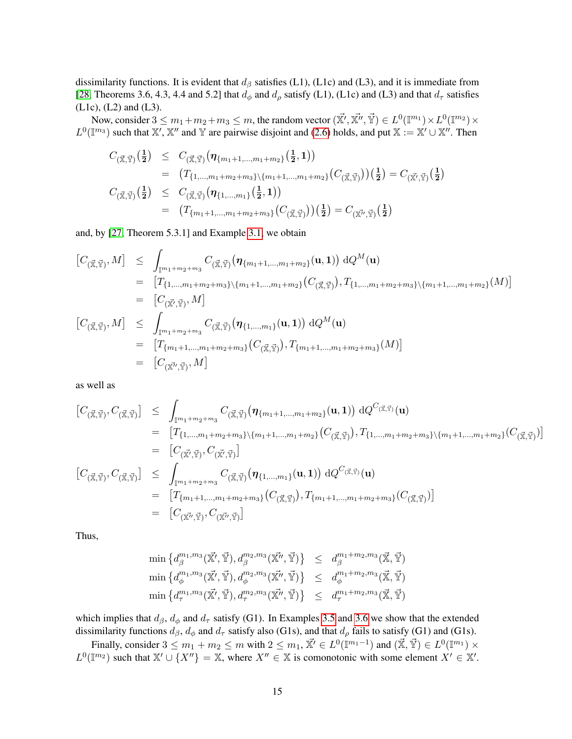dissimilarity functions. It is evident that  $d<sub>β</sub>$  satisfies (L1), (L1c) and (L3), and it is immediate from [\[28,](#page-24-19) Theorems 3.6, 4.3, 4.4 and 5.2] that  $d_{\phi}$  and  $d_{\rho}$  satisfy (L1), (L1c) and (L3) and that  $d_{\tau}$  satisfies (L1c), (L2) and (L3).

Now, consider  $3 \le m_1+m_2+m_3 \le m$ , the random vector  $(\vec{\mathbb{X}'}, \vec{\mathbb{X}''}, \vec{\mathbb{Y}}) \in L^0(\mathbb{I}^{m_1}) \times L^0(\mathbb{I}^{m_2}) \times$  $L^0(\mathbb{T}^m)$  such that  $\mathbb{X}', \mathbb{X}''$  and  $\mathbb{Y}$  are pairwise disjoint and [\(2.6\)](#page-5-1) holds, and put  $\mathbb{X} := \mathbb{X}' \cup \mathbb{X}''$ . Then

$$
C_{(\vec{\mathbf{x}}, \vec{\mathbf{y}})}(\frac{1}{2}) \leq C_{(\vec{\mathbf{x}}, \vec{\mathbf{y}})}(\eta_{\{m_1+1, \dots, m_1+m_2\}}(\frac{1}{2}, 1))
$$
  
\n
$$
= (T_{\{1, \dots, m_1+m_2+m_3\}\setminus\{m_1+1, \dots, m_1+m_2\}}(C_{(\vec{\mathbf{x}}, \vec{\mathbf{y}})})(\frac{1}{2}) = C_{(\vec{\mathbf{x}}, \vec{\mathbf{y}})}(\frac{1}{2})
$$
  
\n
$$
C_{(\vec{\mathbf{x}}, \vec{\mathbf{y}})}(\frac{1}{2}) \leq C_{(\vec{\mathbf{x}}, \vec{\mathbf{y}})}(\eta_{\{1, \dots, m_1\}}(\frac{1}{2}, 1))
$$
  
\n
$$
= (T_{\{m_1+1, \dots, m_1+m_2+m_3\}}(C_{(\vec{\mathbf{x}}, \vec{\mathbf{y}})})(\frac{1}{2}) = C_{(\vec{\mathbf{x}}', \vec{\mathbf{y}})}(\frac{1}{2})
$$

and, by [\[27,](#page-24-20) Theorem 5.3.1] and Example [3.1,](#page-7-1) we obtain

$$
[C_{(\vec{\mathbf{x}},\vec{\mathbf{y}})},M] \leq \int_{\mathbb{I}^{m_{1}+m_{2}+m_{3}}} C_{(\vec{\mathbf{x}},\vec{\mathbf{y}})}(\eta_{\{m_{1}+1,\ldots,m_{1}+m_{2}\}}(\mathbf{u},1)) dQ^{M}(\mathbf{u})
$$
  
\n
$$
= [T_{\{1,\ldots,m_{1}+m_{2}+m_{3}\}\setminus\{m_{1}+1,\ldots,m_{1}+m_{2}\}}(C_{(\vec{\mathbf{x}},\vec{\mathbf{y}})}), T_{\{1,\ldots,m_{1}+m_{2}+m_{3}\}\setminus\{m_{1}+1,\ldots,m_{1}+m_{2}\}}(M)]
$$
  
\n
$$
= [C_{(\vec{\mathbf{x}},\vec{\mathbf{y}})},M] \leq \int_{\mathbb{I}^{m_{1}+m_{2}+m_{3}}} C_{(\vec{\mathbf{x}},\vec{\mathbf{y}})}(\eta_{\{1,\ldots,m_{1}\}}(\mathbf{u},1)) dQ^{M}(\mathbf{u})
$$
  
\n
$$
= [T_{\{m_{1}+1,\ldots,m_{1}+m_{2}+m_{3}\}}(C_{(\vec{\mathbf{x}},\vec{\mathbf{y}})}), T_{\{m_{1}+1,\ldots,m_{1}+m_{2}+m_{3}\}}(M)]
$$
  
\n
$$
= [C_{(\vec{\mathbf{x'}},\vec{\mathbf{y}})},M]
$$

as well as

$$
[C_{(\vec{x},\vec{Y})}, C_{(\vec{x},\vec{Y})}] \leq \int_{\mathbb{I}^{m_1+m_2+m_3}} C_{(\vec{x},\vec{Y})} (\eta_{\{m_1+1,\ldots,m_1+m_2\}}(\mathbf{u}, \mathbf{1})) dQ^{C_{(\vec{x},\vec{Y})}}(\mathbf{u})
$$
  
\n
$$
= [T_{\{1,\ldots,m_1+m_2+m_3\}\setminus\{m_1+1,\ldots,m_1+m_2\}}(C_{(\vec{x},\vec{Y})}), T_{\{1,\ldots,m_1+m_2+m_3\}\setminus\{m_1+1,\ldots,m_1+m_2\}}(C_{(\vec{x},\vec{Y})})]
$$
  
\n
$$
= [C_{(\vec{x}',\vec{Y})}, C_{(\vec{x},\vec{Y})}]
$$
  
\n
$$
[C_{(\vec{x},\vec{Y})}, C_{(\vec{x},\vec{Y})}] \leq \int_{\mathbb{I}^{m_1+m_2+m_3}} C_{(\vec{x},\vec{Y})} (\eta_{\{1,\ldots,m_1\}}(\mathbf{u}, \mathbf{1})) dQ^{C_{(\vec{x},\vec{Y})}}(\mathbf{u})
$$
  
\n
$$
= [T_{\{m_1+1,\ldots,m_1+m_2+m_3\}}(C_{(\vec{x},\vec{Y})}), T_{\{m_1+1,\ldots,m_1+m_2+m_3\}}(C_{(\vec{x},\vec{Y})})]
$$
  
\n
$$
= [C_{(\vec{x}',\vec{Y})}, C_{(\vec{x}',\vec{Y})}]
$$

Thus,

$$
\min \left\{ d_{\beta}^{m_1,m_3}(\vec{\mathbb{X}'}, \vec{\mathbb{Y}}), d_{\beta}^{m_2,m_3}(\vec{\mathbb{X}''}, \vec{\mathbb{Y}}) \right\} \leq d_{\beta}^{m_1+m_2,m_3}(\vec{\mathbb{X}}, \vec{\mathbb{Y}})
$$
\n
$$
\min \left\{ d_{\phi}^{m_1,m_3}(\vec{\mathbb{X}'}, \vec{\mathbb{Y}}), d_{\phi}^{m_2,m_3}(\vec{\mathbb{X}''}, \vec{\mathbb{Y}}) \right\} \leq d_{\phi}^{m_1+m_2,m_3}(\vec{\mathbb{X}}, \vec{\mathbb{Y}})
$$
\n
$$
\min \left\{ d_{\tau}^{m_1,m_3}(\vec{\mathbb{X}'}, \vec{\mathbb{Y}}), d_{\tau}^{m_2,m_3}(\vec{\mathbb{X}''}, \vec{\mathbb{Y}}) \right\} \leq d_{\tau}^{m_1+m_2,m_3}(\vec{\mathbb{X}}, \vec{\mathbb{Y}})
$$

which implies that  $d_{\beta}$ ,  $d_{\phi}$  and  $d_{\tau}$  satisfy (G1). In Examples [3.5](#page-15-0) and [3.6](#page-16-0) we show that the extended dissimilarity functions  $d_{\beta}$ ,  $d_{\phi}$  and  $d_{\tau}$  satisfy also (G1s), and that  $d_{\rho}$  fails to satisfy (G1) and (G1s).

Finally, consider  $3 \le m_1 + m_2 \le m$  with  $2 \le m_1$ ,  $\vec{X'} \in L^0(\mathbb{I}^{m_1-1})$  and  $(\vec{X}, \vec{Y}) \in L^0(\mathbb{I}^{m_1}) \times$  $L^0(\mathbb{T}^2)$  such that  $\mathbb{X}' \cup \{X''\} = \mathbb{X}$ , where  $X'' \in \mathbb{X}$  is comonotonic with some element  $X' \in \mathbb{X}'$ .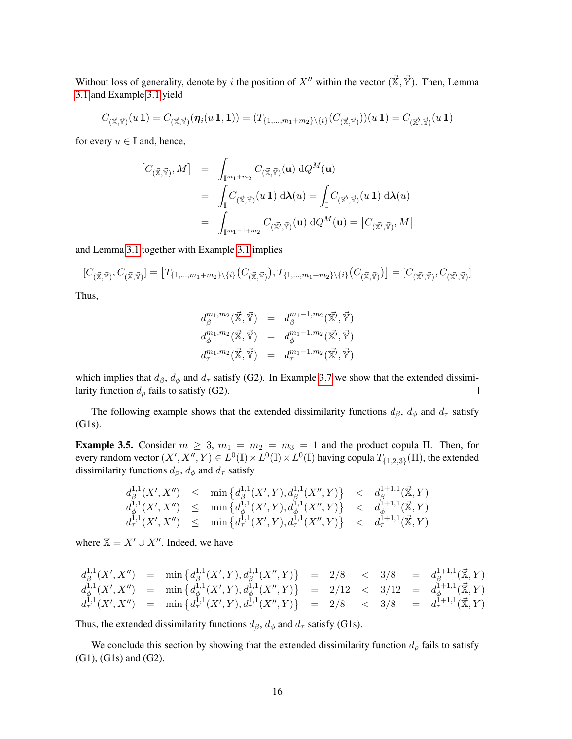Without loss of generality, denote by i the position of X<sup>0</sup> within the vector ( $\vec{\mathbb{X}}, \vec{\mathbb{Y}}$ ). Then, Lemma [3.1](#page-7-0) and Example [3.1](#page-7-1) yield

$$
C_{(\vec{\mathbb{X}},\vec{\mathbb{Y}})}(u\,\mathbf{1})=C_{(\vec{\mathbb{X}},\vec{\mathbb{Y}})}(\boldsymbol{\eta}_i(u\,\mathbf{1},\mathbf{1}))=(T_{\{1,...,m_1+m_2\}\setminus\{i\}}(C_{(\vec{\mathbb{X}},\vec{\mathbb{Y}})}))(u\,\mathbf{1})=C_{(\vec{\mathbb{X}'},\vec{\mathbb{Y}})}(u\,\mathbf{1})
$$

for every  $u \in \mathbb{I}$  and, hence,

$$
\begin{array}{rcl}\n[C_{(\vec{\mathbb{X}},\vec{\mathbb{Y}})},M] & = & \displaystyle \int_{\mathbb{I}^{m_1+m_2}} C_{(\vec{\mathbb{X}},\vec{\mathbb{Y}})}(\mathbf{u}) \, dQ^M(\mathbf{u}) \\
& = & \displaystyle \int_{\mathbb{I}} C_{(\vec{\mathbb{X}},\vec{\mathbb{Y}})}(u \, \mathbf{1}) \, d\lambda(u) = \displaystyle \int_{\mathbb{I}} C_{(\vec{\mathbb{X}'},\vec{\mathbb{Y}})}(u \, \mathbf{1}) \, d\lambda(u) \\
& = & \displaystyle \int_{\mathbb{I}^{m_1-1+m_2}} C_{(\vec{\mathbb{X}'},\vec{\mathbb{Y}})}(\mathbf{u}) \, dQ^M(\mathbf{u}) = \left[C_{(\vec{\mathbb{X}'},\vec{\mathbb{Y}})},M\right]\n\end{array}
$$

and Lemma [3.1](#page-7-0) together with Example [3.1](#page-7-1) implies

 $[C_{(\vec{\mathbb{X}}, \vec{\mathbb{Y}})}, C_{(\vec{\mathbb{X}}, \vec{\mathbb{Y}})}] = \big[T_{\{1,...,m_1+m_2\}\setminus\{i\}}(C_{(\vec{\mathbb{X}}, \vec{\mathbb{Y}})}) , T_{\{1,...,m_1+m_2\}\setminus\{i\}}(C_{(\vec{\mathbb{X}}, \vec{\mathbb{Y}})})\big] = [C_{(\vec{\mathbb{X}}', \vec{\mathbb{Y}})}, C_{(\vec{\mathbb{X}}', \vec{\mathbb{Y}})}]$ 

Thus,

$$
d_{\beta}^{m_1,m_2}(\vec{\mathbb{X}}, \vec{\mathbb{Y}}) = d_{\beta}^{m_1-1,m_2}(\vec{\mathbb{X}'}, \vec{\mathbb{Y}})
$$
  

$$
d_{\phi}^{m_1,m_2}(\vec{\mathbb{X}}, \vec{\mathbb{Y}}) = d_{\phi}^{m_1-1,m_2}(\vec{\mathbb{X}'}, \vec{\mathbb{Y}})
$$
  

$$
d_{\tau}^{m_1,m_2}(\vec{\mathbb{X}}, \vec{\mathbb{Y}}) = d_{\tau}^{m_1-1,m_2}(\vec{\mathbb{X}'}, \vec{\mathbb{Y}})
$$

which implies that  $d_{\beta}$ ,  $d_{\phi}$  and  $d_{\tau}$  satisfy (G2). In Example [3.7](#page-16-1) we show that the extended dissimilarity function  $d_{\rho}$  fails to satisfy (G2).  $\Box$ 

The following example shows that the extended dissimilarity functions  $d_{\beta}$ ,  $d_{\phi}$  and  $d_{\tau}$  satisfy (G1s).

<span id="page-15-0"></span>Example 3.5. Consider  $m \geq 3$ ,  $m_1 = m_2 = m_3 = 1$  and the product copula  $\Pi$ . Then, for every random vector  $(X', X'', Y) \in L^0(\mathbb{I}) \times L^0(\mathbb{I}) \times L^0(\mathbb{I})$  having copula  $T_{\{1,2,3\}}(\Pi)$ , the extended dissimilarity functions  $d_{\beta}$ ,  $d_{\phi}$  and  $d_{\tau}$  satisfy

$$
\begin{array}{ccc} d_{\beta}^{1,1}(X',X'')&\leq&\min\left\{d_{\beta}^{1,1}(X',Y),d_{\beta}^{1,1}(X'',Y)\right\}&<&d_{\beta}^{1+1,1}(\vec{\mathbb{X}},Y)\\ d_{\phi}^{1,1}(X',X'')&\leq&\min\left\{d_{\phi}^{1,1}(X',Y),d_{\phi}^{1,1}(X'',Y)\right\}&<&d_{\phi}^{1+1,1}(\vec{\mathbb{X}},Y)\\ d_{\tau}^{1,1}(X',X'')&\leq&\min\left\{d_{\tau}^{1,1}(X',Y),d_{\tau}^{1,1}(X'',Y)\right\}&<&d_{\tau}^{1+1,1}(\vec{\mathbb{X}},Y) \end{array}
$$

where  $X = X' \cup X''$ . Indeed, we have

$$
d_{\beta}^{1,1}(X', X'') = \min \{ d_{\beta}^{1,1}(X', Y), d_{\beta}^{1,1}(X'', Y) \} = 2/8 < 3/8 = d_{\beta}^{1+1,1}(\mathbf{X}, Y) \n d_{\phi}^{1,1}(X', X'') = \min \{ d_{\phi}^{1,1}(X', Y), d_{\phi}^{1,1}(X'', Y) \} = 2/12 < 3/12 = d_{\phi}^{1+1,1}(\mathbf{X}, Y) \n d_{\tau}^{1,1}(X', X'') = \min \{ d_{\tau}^{1,1}(X', Y), d_{\tau}^{1,1}(X'', Y) \} = 2/8 < 3/8 = d_{\tau}^{1+1,1}(\mathbf{X}, Y)
$$

Thus, the extended dissimilarity functions  $d_{\beta}$ ,  $d_{\phi}$  and  $d_{\tau}$  satisfy (G1s).

We conclude this section by showing that the extended dissimilarity function  $d_{\rho}$  fails to satisfy (G1), (G1s) and (G2).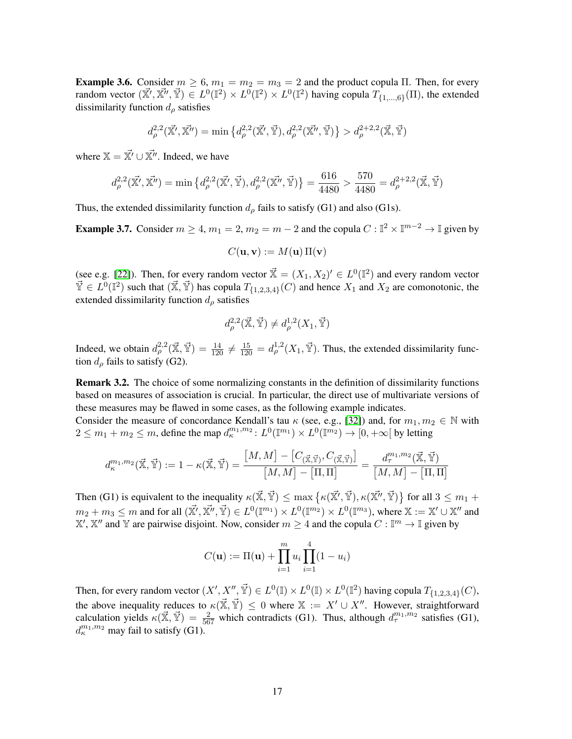<span id="page-16-0"></span>**Example 3.6.** Consider  $m \ge 6$ ,  $m_1 = m_2 = m_3 = 2$  and the product copula Π. Then, for every random vector  $(\vec{x'}, \vec{x''}, \vec{y}) \in L^0(\mathbb{I}^2) \times L^0(\mathbb{I}^2) \times L^0(\mathbb{I}^2)$  having copula  $T_{\{1,\dots,6\}}(\Pi)$ , the extended dissimilarity function  $d_{\rho}$  satisfies

$$
d_{\rho}^{2,2}(\vec{\mathbb{X}'}, \vec{\mathbb{X}'}) = \min \left\{ d_{\rho}^{2,2}(\vec{\mathbb{X}'}, \vec{\mathbb{Y}}), d_{\rho}^{2,2}(\vec{\mathbb{X}''}, \vec{\mathbb{Y}}) \right\} > d_{\rho}^{2+2,2}(\vec{\mathbb{X}}, \vec{\mathbb{Y}})
$$

where  $X = \vec{X'} \cup \vec{X''}$ . Indeed, we have

$$
d_{\rho}^{2,2}(\vec{\mathbb{X}'}, \vec{\mathbb{X}''}) = \min \left\{ d_{\rho}^{2,2}(\vec{\mathbb{X}'}, \vec{\mathbb{Y}}), d_{\rho}^{2,2}(\vec{\mathbb{X}''}, \vec{\mathbb{Y}}) \right\} = \frac{616}{4480} > \frac{570}{4480} = d_{\rho}^{2+2,2}(\vec{\mathbb{X}}, \vec{\mathbb{Y}})
$$

Thus, the extended dissimilarity function  $d_{\rho}$  fails to satisfy (G1) and also (G1s).

<span id="page-16-1"></span>**Example 3.7.** Consider  $m \ge 4$ ,  $m_1 = 2$ ,  $m_2 = m - 2$  and the copula  $C : \mathbb{I}^2 \times \mathbb{I}^{m-2} \to \mathbb{I}$  given by

$$
C(\mathbf{u}, \mathbf{v}) := M(\mathbf{u}) \Pi(\mathbf{v})
$$

(see e.g. [\[22\]](#page-24-1)). Then, for every random vector  $\vec{\mathbb{X}} = (X_1, X_2)' \in L^0(\mathbb{I}^2)$  and every random vector  $\vec{Y} \in L^0(\mathbb{I}^2)$  such that  $(\vec{X}, \vec{Y})$  has copula  $T_{\{1,2,3,4\}}(C)$  and hence  $X_1$  and  $X_2$  are comonotonic, the extended dissimilarity function  $d_{\rho}$  satisfies

$$
d_{\rho}^{2,2}(\vec{\mathbb{X}}, \vec{\mathbb{Y}}) \neq d_{\rho}^{1,2}(X_1, \vec{\mathbb{Y}})
$$

Indeed, we obtain  $d_{\rho}^{2,2}(\vec{X}, \vec{Y}) = \frac{14}{120} \neq \frac{15}{120} = d_{\rho}^{1,2}(X_1, \vec{Y})$ . Thus, the extended dissimilarity function  $d_{\rho}$  fails to satisfy (G2).

Remark 3.2. The choice of some normalizing constants in the definition of dissimilarity functions based on measures of association is crucial. In particular, the direct use of multivariate versions of these measures may be flawed in some cases, as the following example indicates.

Consider the measure of concordance Kendall's tau  $\kappa$  (see, e.g., [\[32\]](#page-24-21)) and, for  $m_1, m_2 \in \mathbb{N}$  with  $2 \leq m_1 + m_2 \leq m$ , define the map  $d_{\kappa}^{m_1, m_2}$ :  $L^0(\mathbb{I}^{m_1}) \times L^0(\mathbb{I}^{m_2}) \to [0, +\infty)$  by letting

$$
d_{\kappa}^{m_1,m_2}(\vec{\mathbb{X}},\vec{\mathbb{Y}}) := 1 - \kappa(\vec{\mathbb{X}},\vec{\mathbb{Y}}) = \frac{[M,M] - [C_{(\vec{\mathbb{X}},\vec{\mathbb{Y}})},C_{(\vec{\mathbb{X}},\vec{\mathbb{Y}})}]}{[M,M] - [\Pi,\Pi]} = \frac{d_{\tau}^{m_1,m_2}(\vec{\mathbb{X}},\vec{\mathbb{Y}})}{[M,M] - [\Pi,\Pi]}
$$

Then (G1) is equivalent to the inequality  $\kappa(\vec{x}, \vec{Y}) \le \max \{ \kappa(\vec{x'}, \vec{Y}), \kappa(\vec{x''}, \vec{Y}) \}$  for all  $3 \le m_1 +$  $m_2+m_3\leq m$  and for all  $(\vec{\mathbb{X}'}, \vec{\mathbb{X}''}, \vec{\mathbb{Y}})\in L^0(\mathbb{I}^{m_1})\times L^0(\mathbb{I}^{m_2})\times L^0(\mathbb{I}^{m_3}),$  where  $\mathbb{X}:=\mathbb{X}'\cup\mathbb{X}''$  and  $\mathbb{X}', \mathbb{X}''$  and  $\mathbb{Y}$  are pairwise disjoint. Now, consider  $m \geq 4$  and the copula  $C : \mathbb{I}^m \to \mathbb{I}$  given by

$$
C(\mathbf{u}) := \Pi(\mathbf{u}) + \prod_{i=1}^{m} u_i \prod_{i=1}^{4} (1 - u_i)
$$

Then, for every random vector  $(X', X'', \vec{Y}) \in L^0(\mathbb{I}) \times L^0(\mathbb{I}) \times L^0(\mathbb{I}^2)$  having copula  $T_{\{1,2,3,4\}}(C)$ , the above inequality reduces to  $\kappa(\vec{X}, \vec{Y}) \leq 0$  where  $X := X' \cup X''$ . However, straightforward calculation yields  $\kappa(\vec{\mathbb{X}}, \vec{\mathbb{Y}}) = \frac{2}{567}$  which contradicts (G1). Thus, although  $d_{\tau}^{m_1, m_2}$  satisfies (G1),  $d_{\kappa}^{m_1,m_2}$  may fail to satisfy (G1).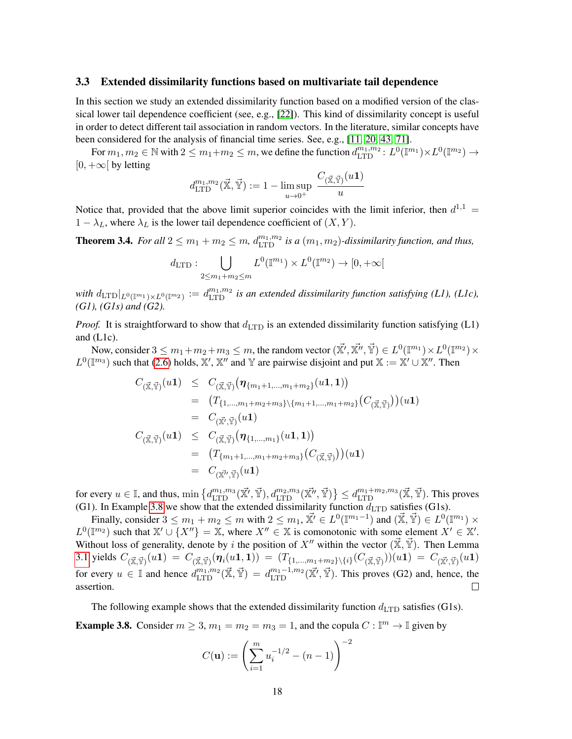#### <span id="page-17-0"></span>3.3 Extended dissimilarity functions based on multivariate tail dependence

In this section we study an extended dissimilarity function based on a modified version of the classical lower tail dependence coefficient (see, e.g., [\[22\]](#page-24-1)). This kind of dissimilarity concept is useful in order to detect different tail association in random vectors. In the literature, similar concepts have been considered for the analysis of financial time series. See, e.g., [\[11,](#page-24-6) [20,](#page-24-10) [43,](#page-25-17) [71\]](#page-26-5).

For  $m_1, m_2 \in \mathbb{N}$  with  $2 \le m_1 + m_2 \le m$ , we define the function  $d_{\text{LTD}}^{m_1, m_2}$ :  $L^0(\mathbb{I}^{m_1}) \times L^0(\mathbb{I}^{m_2}) \to$  $[0, +\infty)$  by letting

$$
d^{m_1,m_2}_{\mathrm{LTD}}(\vec{\mathbb{X}},\vec{\mathbb{Y}}) := 1 - \limsup_{u \to 0^+} \frac{C_{(\vec{\mathbb{X}},\vec{\mathbb{Y}})}(u\mathbf{1})}{u}
$$

Notice that, provided that the above limit superior coincides with the limit inferior, then  $d^{1,1}$  =  $1 - \lambda_L$ , where  $\lambda_L$  is the lower tail dependence coefficient of  $(X, Y)$ .

**Theorem 3.4.** For all  $2 \le m_1 + m_2 \le m$ ,  $d_{\text{LTD}}^{m_1,m_2}$  is a  $(m_1, m_2)$ -dissimilarity function, and thus,

$$
d_{\text{LTD}}: \bigcup_{2 \le m_1 + m_2 \le m} L^0(\mathbb{I}^{m_1}) \times L^0(\mathbb{I}^{m_2}) \to [0, +\infty[
$$

with  $d_{\rm LTD}|_{L^0(\mathbb{T}^{m_1})\times L^0(\mathbb{T}^{m_2})}:=d_{\rm LTD}^{m_1,m_2}$  is an extended dissimilarity function satisfying (L1), (L1c), *(G1), (G1s) and (G2).*

*Proof.* It is straightforward to show that  $d_{\text{LTD}}$  is an extended dissimilarity function satisfying (L1) and (L1c).

Now, consider  $3 \leq m_1+m_2+m_3 \leq m$ , the random vector  $(\vec{\mathbb{X}'}, \vec{\mathbb{X}''}, \vec{\mathbb{Y}}) \in L^0(\mathbb{I}^{m_1}) \times L^0(\mathbb{I}^{m_2}) \times$  $L^0(\mathbb{I}^{m_3})$  such that [\(2.6\)](#page-5-1) holds, X', X'' and Y are pairwise disjoint and put  $\mathbb{X} := \mathbb{X}' \cup \mathbb{X}''$ . Then

$$
C_{(\vec{\mathbb{X}}, \vec{\mathbb{Y}})}(u1) \leq C_{(\vec{\mathbb{X}}, \vec{\mathbb{Y}})}(\eta_{\{m_1+1, \dots, m_1+m_2\}}(u1, 1))
$$
  
\n
$$
= (T_{\{1, \dots, m_1+m_2+m_3\}\setminus \{m_1+1, \dots, m_1+m_2\}}(C_{(\vec{\mathbb{X}}, \vec{\mathbb{Y}})}))(u1)
$$
  
\n
$$
= C_{(\vec{\mathbb{X}}, \vec{\mathbb{Y}})}(u1)
$$
  
\n
$$
C_{(\vec{\mathbb{X}}, \vec{\mathbb{Y}})}(u1) \leq C_{(\vec{\mathbb{X}}, \vec{\mathbb{Y}})}(\eta_{\{1, \dots, m_1\}}(u1, 1))
$$
  
\n
$$
= (T_{\{m_1+1, \dots, m_1+m_2+m_3\}}(C_{(\vec{\mathbb{X}}, \vec{\mathbb{Y}})}))(u1)
$$
  
\n
$$
= C_{(\vec{\mathbb{X}}', \vec{\mathbb{Y}})}(u1)
$$

for every  $u \in \mathbb{I}$ , and thus,  $\min \left\{ d_{\text{LTD}}^{m_1, m_3}(\vec{x'}, \vec{Y}), d_{\text{LTD}}^{m_2, m_3}(\vec{x'}, \vec{Y}) \right\} \leq d_{\text{LTD}}^{m_1 + m_2, m_3}(\vec{x}, \vec{Y})$ . This proves (G1). In Example [3.8](#page-17-1) we show that the extended dissimilarity function  $d_{\text{LTD}}$  satisfies (G1s).

Finally, consider  $3 \le m_1 + m_2 \le m$  with  $2 \le m_1$ ,  $\vec{X'} \in L^0(\mathbb{I}^{m_1-1})$  and  $(\vec{X}, \vec{Y}) \in L^0(\mathbb{I}^{m_1}) \times$  $L^0(\mathbb{T}^2)$  such that  $\mathbb{X}' \cup \{X''\} = \mathbb{X}$ , where  $X'' \in \mathbb{X}$  is comonotonic with some element  $X' \in \mathbb{X}'$ . Without loss of generality, denote by i the position of  $X''$  within the vector  $(\mathbb{X}, \mathbb{Y})$ . Then Lemma [3.1](#page-7-0) yields  $C_{(\vec{\mathbb{X}},\vec{\mathbb{Y}})}(u\mathbf{1})\ =\ C_{(\vec{\mathbb{X}},\vec{\mathbb{Y}})}(\boldsymbol{\eta}_i(u\mathbf{1},\mathbf{1}))\ =\ (T_{\{1,...,m_1+m_2\}\setminus\{i\}}(C_{(\vec{\mathbb{X}},\vec{\mathbb{Y}})}))(u\mathbf{1})\ =\ C_{(\vec{\mathbb{X}'},\vec{\mathbb{Y}})}(u\mathbf{1})$ for every  $u \in \mathbb{I}$  and hence  $d_{\text{LTD}}^{m_1, m_2}(\vec{\mathbb{X}}, \vec{\mathbb{Y}}) = d_{\text{LTD}}^{m_1 - 1, m_2}(\vec{\mathbb{X}'}, \vec{\mathbb{Y}})$ . This proves (G2) and, hence, the assertion.  $\Box$ 

The following example shows that the extended dissimilarity function  $d_{\text{LTD}}$  satisfies (G1s).

<span id="page-17-1"></span>**Example 3.8.** Consider  $m \ge 3$ ,  $m_1 = m_2 = m_3 = 1$ , and the copula  $C : \mathbb{I}^m \to \mathbb{I}$  given by

$$
C(\mathbf{u}) := \left(\sum_{i=1}^{m} u_i^{-1/2} - (n-1)\right)^{-2}
$$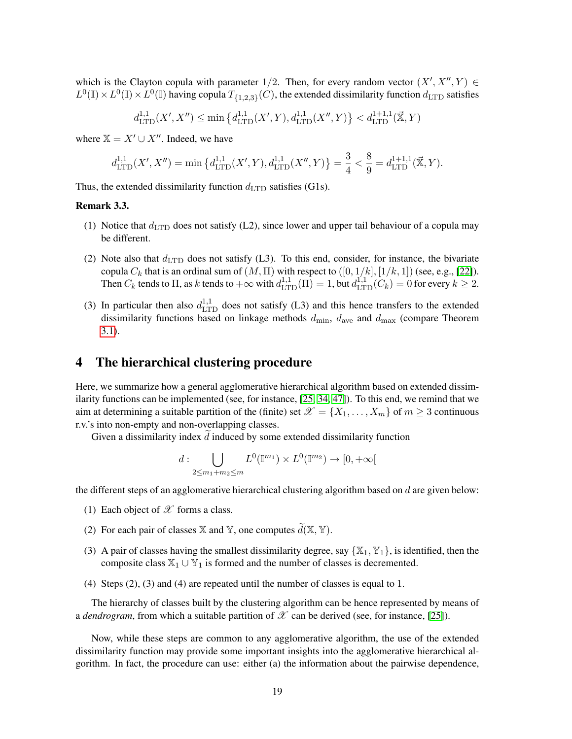which is the Clayton copula with parameter 1/2. Then, for every random vector  $(X', X'', Y) \in$  $L^0(\mathbb{I}) \times L^0(\mathbb{I}) \times L^0(\mathbb{I})$  having copula  $T_{\{1,2,3\}}(C)$ , the extended dissimilarity function  $d_{\text{LTD}}$  satisfies

$$
d_{\text{LTD}}^{1,1}(X', X'') \le \min\left\{d_{\text{LTD}}^{1,1}(X', Y), d_{\text{LTD}}^{1,1}(X'', Y)\right\} < d_{\text{LTD}}^{1+1,1}(\vec{\mathbf{x}}, Y)
$$

where  $X = X' \cup X''$ . Indeed, we have

$$
d_{\mathrm{LTD}}^{1,1}(X',X'')=\min\left\{d_{\mathrm{LTD}}^{1,1}(X',Y),d_{\mathrm{LTD}}^{1,1}(X'',Y)\right\}=\frac{3}{4}<\frac{8}{9}=d_{\mathrm{LTD}}^{1+1,1}(\vec{\mathbb{X}},Y).
$$

Thus, the extended dissimilarity function  $d_{\text{LTD}}$  satisfies (G1s).

### <span id="page-18-1"></span>Remark 3.3.

- (1) Notice that  $d_{\text{LTD}}$  does not satisfy (L2), since lower and upper tail behaviour of a copula may be different.
- (2) Note also that  $d_{\text{LTD}}$  does not satisfy (L3). To this end, consider, for instance, the bivariate copula  $C_k$  that is an ordinal sum of  $(M, \Pi)$  with respect to  $([0, 1/k], [1/k, 1])$  (see, e.g., [\[22\]](#page-24-1)). Then  $C_k$  tends to  $\Pi$ , as k tends to  $+\infty$  with  $d_{\text{LTD}}^{1,1}(\Pi) = 1$ , but  $d_{\text{LTD}}^{1,1}(C_k) = 0$  for every  $k \geq 2$ .
- (3) In particular then also  $d_{\text{LTD}}^{1,1}$  does not satisfy (L3) and this hence transfers to the extended dissimilarity functions based on linkage methods  $d_{\min}$ ,  $d_{\text{ave}}$  and  $d_{\max}$  (compare Theorem [3.1\)](#page-9-5).

### <span id="page-18-0"></span>4 The hierarchical clustering procedure

Here, we summarize how a general agglomerative hierarchical algorithm based on extended dissimilarity functions can be implemented (see, for instance, [\[25,](#page-24-0) [34,](#page-24-22) [47\]](#page-25-6)). To this end, we remind that we aim at determining a suitable partition of the (finite) set  $\mathscr{X} = \{X_1, \ldots, X_m\}$  of  $m \geq 3$  continuous r.v.'s into non-empty and non-overlapping classes.

Given a dissimilarity index  $d$  induced by some extended dissimilarity function

$$
d: \bigcup_{2 \le m_1 + m_2 \le m} L^0(\mathbb{I}^{m_1}) \times L^0(\mathbb{I}^{m_2}) \to [0, +\infty[
$$

the different steps of an agglomerative hierarchical clustering algorithm based on  $d$  are given below:

- (1) Each object of  $\mathscr X$  forms a class.
- (2) For each pair of classes  $X$  and  $Y$ , one computes  $\widetilde{d}(X, Y)$ .
- (3) A pair of classes having the smallest dissimilarity degree, say  $\{X_1, Y_1\}$ , is identified, then the composite class  $\mathbb{X}_1 \cup \mathbb{Y}_1$  is formed and the number of classes is decremented.
- (4) Steps (2), (3) and (4) are repeated until the number of classes is equal to 1.

The hierarchy of classes built by the clustering algorithm can be hence represented by means of a *dendrogram*, from which a suitable partition of  $\mathcal X$  can be derived (see, for instance, [\[25\]](#page-24-0)).

Now, while these steps are common to any agglomerative algorithm, the use of the extended dissimilarity function may provide some important insights into the agglomerative hierarchical algorithm. In fact, the procedure can use: either (a) the information about the pairwise dependence,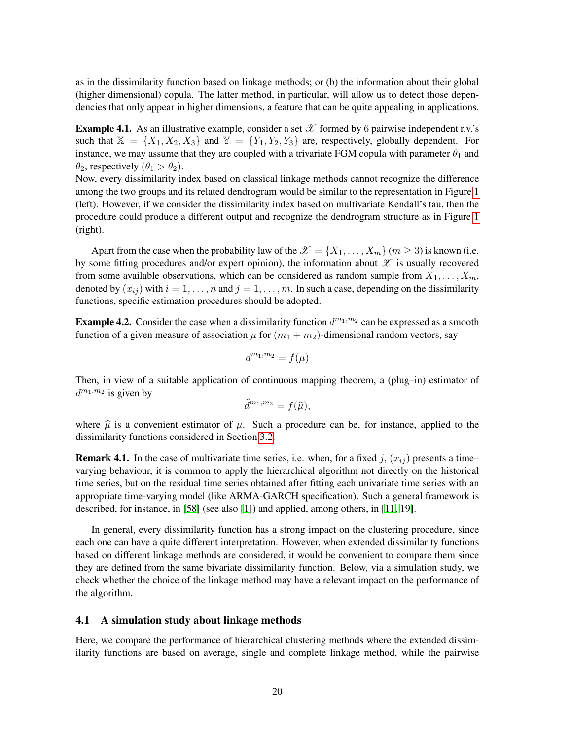as in the dissimilarity function based on linkage methods; or (b) the information about their global (higher dimensional) copula. The latter method, in particular, will allow us to detect those dependencies that only appear in higher dimensions, a feature that can be quite appealing in applications.

<span id="page-19-2"></span>**Example 4.1.** As an illustrative example, consider a set  $\mathcal{X}$  formed by 6 pairwise independent r.v.'s such that  $X = \{X_1, X_2, X_3\}$  and  $Y = \{Y_1, Y_2, Y_3\}$  are, respectively, globally dependent. For instance, we may assume that they are coupled with a trivariate FGM copula with parameter  $\theta_1$  and  $\theta_2$ , respectively  $(\theta_1 > \theta_2)$ .

Now, every dissimilarity index based on classical linkage methods cannot recognize the difference among the two groups and its related dendrogram would be similar to the representation in Figure [1](#page-28-0) (left). However, if we consider the dissimilarity index based on multivariate Kendall's tau, then the procedure could produce a different output and recognize the dendrogram structure as in Figure [1](#page-28-0) (right).

Apart from the case when the probability law of the  $\mathscr{X} = \{X_1, \ldots, X_m\}$  ( $m \geq 3$ ) is known (i.e. by some fitting procedures and/or expert opinion), the information about  $\mathscr X$  is usually recovered from some available observations, which can be considered as random sample from  $X_1, \ldots, X_m$ , denoted by  $(x_{ij})$  with  $i = 1, \ldots, n$  and  $j = 1, \ldots, m$ . In such a case, depending on the dissimilarity functions, specific estimation procedures should be adopted.

<span id="page-19-1"></span>**Example 4.2.** Consider the case when a dissimilarity function  $d^{m_1,m_2}$  can be expressed as a smooth function of a given measure of association  $\mu$  for  $(m_1 + m_2)$ -dimensional random vectors, say

$$
d^{m_1,m_2} = f(\mu)
$$

Then, in view of a suitable application of continuous mapping theorem, a (plug–in) estimator of  $d^{m_1,m_2}$  is given by

$$
\widehat{d}^{m_1,m_2}=f(\widehat{\mu}),
$$

where  $\hat{\mu}$  is a convenient estimator of  $\mu$ . Such a procedure can be, for instance, applied to the dissimilarity functions considered in Section [3.2.](#page-13-0)

**Remark 4.1.** In the case of multivariate time series, i.e. when, for a fixed j,  $(x_{ij})$  presents a time– varying behaviour, it is common to apply the hierarchical algorithm not directly on the historical time series, but on the residual time series obtained after fitting each univariate time series with an appropriate time-varying model (like ARMA-GARCH specification). Such a general framework is described, for instance, in [\[58\]](#page-25-18) (see also [\[1\]](#page-23-7)) and applied, among others, in [\[11,](#page-24-6) [19\]](#page-24-9).

In general, every dissimilarity function has a strong impact on the clustering procedure, since each one can have a quite different interpretation. However, when extended dissimilarity functions based on different linkage methods are considered, it would be convenient to compare them since they are defined from the same bivariate dissimilarity function. Below, via a simulation study, we check whether the choice of the linkage method may have a relevant impact on the performance of the algorithm.

### <span id="page-19-0"></span>4.1 A simulation study about linkage methods

Here, we compare the performance of hierarchical clustering methods where the extended dissimilarity functions are based on average, single and complete linkage method, while the pairwise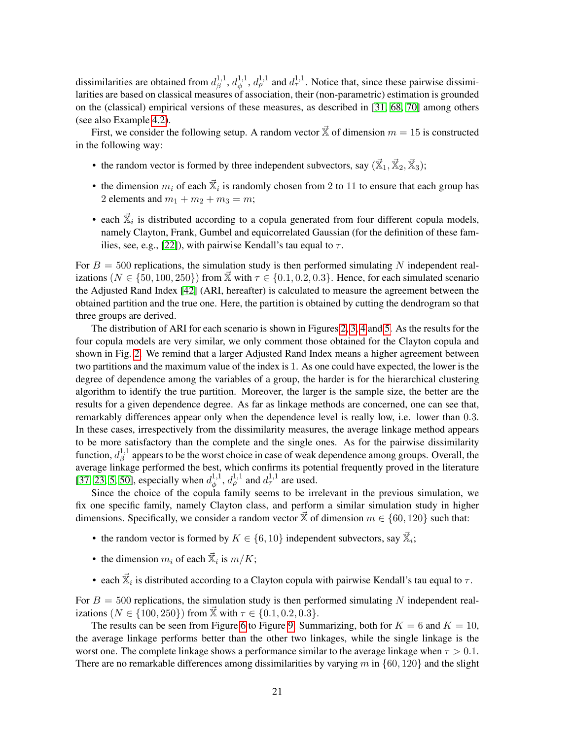dissimilarities are obtained from  $d_{\beta}^{1,1}$  $a^{1,1}_{\beta}, d^{1,1}_{\phi}$  $\phi_{\phi}^{1,1}$ ,  $d_{\rho}^{1,1}$  and  $d_{\tau}^{1,1}$ . Notice that, since these pairwise dissimilarities are based on classical measures of association, their (non-parametric) estimation is grounded on the (classical) empirical versions of these measures, as described in [\[31,](#page-24-23) [68,](#page-26-3) [70\]](#page-26-4) among others (see also Example [4.2\)](#page-19-1).

First, we consider the following setup. A random vector  $\vec{x}$  of dimension  $m = 15$  is constructed in the following way:

- the random vector is formed by three independent subvectors, say  $(\vec{x}_1, \vec{x}_2, \vec{x}_3)$ ;
- the dimension  $m_i$  of each  $\vec{X}_i$  is randomly chosen from 2 to 11 to ensure that each group has 2 elements and  $m_1 + m_2 + m_3 = m$ ;
- each  $\vec{x}_i$  is distributed according to a copula generated from four different copula models, namely Clayton, Frank, Gumbel and equicorrelated Gaussian (for the definition of these fam-ilies, see, e.g., [\[22\]](#page-24-1)), with pairwise Kendall's tau equal to  $\tau$ .

For  $B = 500$  replications, the simulation study is then performed simulating N independent realizations ( $N \in \{50, 100, 250\}$ ) from  $\vec{X}$  with  $\tau \in \{0.1, 0.2, 0.3\}$ . Hence, for each simulated scenario the Adjusted Rand Index [\[42\]](#page-25-19) (ARI, hereafter) is calculated to measure the agreement between the obtained partition and the true one. Here, the partition is obtained by cutting the dendrogram so that three groups are derived.

The distribution of ARI for each scenario is shown in Figures [2,](#page-29-0) [3,](#page-30-0) [4](#page-31-0) and [5.](#page-32-0) As the results for the four copula models are very similar, we only comment those obtained for the Clayton copula and shown in Fig. [2.](#page-29-0) We remind that a larger Adjusted Rand Index means a higher agreement between two partitions and the maximum value of the index is 1. As one could have expected, the lower is the degree of dependence among the variables of a group, the harder is for the hierarchical clustering algorithm to identify the true partition. Moreover, the larger is the sample size, the better are the results for a given dependence degree. As far as linkage methods are concerned, one can see that, remarkably differences appear only when the dependence level is really low, i.e. lower than 0.3. In these cases, irrespectively from the dissimilarity measures, the average linkage method appears to be more satisfactory than the complete and the single ones. As for the pairwise dissimilarity function,  $d_{\beta}^{1,1}$  $\beta$ <sup>1,1</sup> appears to be the worst choice in case of weak dependence among groups. Overall, the average linkage performed the best, which confirms its potential frequently proved in the literature [\[37,](#page-24-24) [23,](#page-24-25) [5,](#page-23-8) [50\]](#page-25-20), especially when  $d_{\phi}^{1,1}$  $\phi_{\phi}^{1,1}, d_{\rho}^{1,1}$  and  $d_{\tau}^{1,1}$  are used.

Since the choice of the copula family seems to be irrelevant in the previous simulation, we fix one specific family, namely Clayton class, and perform a similar simulation study in higher dimensions. Specifically, we consider a random vector  $\vec{\mathbb{X}}$  of dimension  $m \in \{60, 120\}$  such that:

- the random vector is formed by  $K \in \{6, 10\}$  independent subvectors, say  $\vec{\mathbb{X}}_i$ ;
- the dimension  $m_i$  of each  $\vec{x}_i$  is  $m/K$ ;
- each  $\vec{\mathbb{X}}_i$  is distributed according to a Clayton copula with pairwise Kendall's tau equal to  $\tau$ .

For  $B = 500$  replications, the simulation study is then performed simulating N independent realizations ( $N \in \{100, 250\}$ ) from  $\vec{\mathbb{X}}$  with  $\tau \in \{0.1, 0.2, 0.3\}$ .

The results can be seen from Figure [6](#page-33-0) to Figure [9.](#page-36-0) Summarizing, both for  $K = 6$  and  $K = 10$ , the average linkage performs better than the other two linkages, while the single linkage is the worst one. The complete linkage shows a performance similar to the average linkage when  $\tau > 0.1$ . There are no remarkable differences among dissimilarities by varying m in  $\{60, 120\}$  and the slight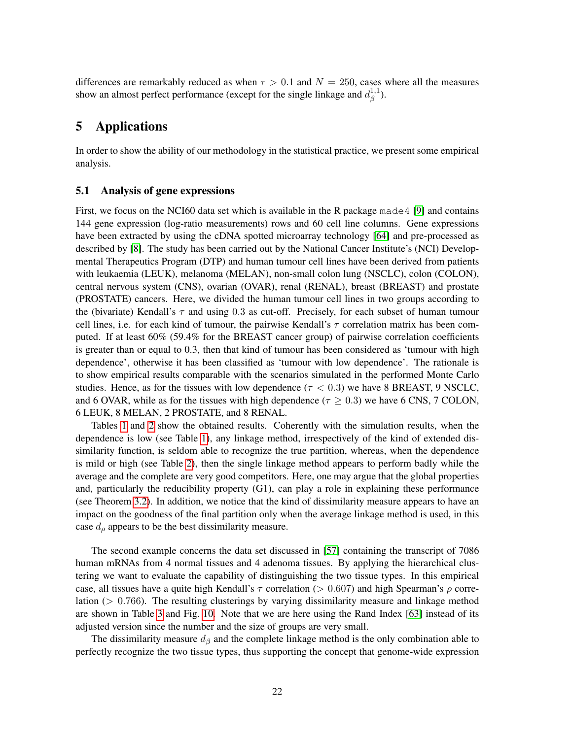differences are remarkably reduced as when  $\tau > 0.1$  and  $N = 250$ , cases where all the measures show an almost perfect performance (except for the single linkage and  $d_{\beta}^{1,1}$  $\frac{1}{\beta}^{1,1}).$ 

# <span id="page-21-0"></span>5 Applications

In order to show the ability of our methodology in the statistical practice, we present some empirical analysis.

### 5.1 Analysis of gene expressions

First, we focus on the NCI60 data set which is available in the R package made4 [\[9\]](#page-23-9) and contains 144 gene expression (log-ratio measurements) rows and 60 cell line columns. Gene expressions have been extracted by using the cDNA spotted microarray technology [\[64\]](#page-25-21) and pre-processed as described by [\[8\]](#page-23-10). The study has been carried out by the National Cancer Institute's (NCI) Developmental Therapeutics Program (DTP) and human tumour cell lines have been derived from patients with leukaemia (LEUK), melanoma (MELAN), non-small colon lung (NSCLC), colon (COLON), central nervous system (CNS), ovarian (OVAR), renal (RENAL), breast (BREAST) and prostate (PROSTATE) cancers. Here, we divided the human tumour cell lines in two groups according to the (bivariate) Kendall's  $\tau$  and using 0.3 as cut-off. Precisely, for each subset of human tumour cell lines, i.e. for each kind of tumour, the pairwise Kendall's  $\tau$  correlation matrix has been computed. If at least 60% (59.4% for the BREAST cancer group) of pairwise correlation coefficients is greater than or equal to 0.3, then that kind of tumour has been considered as 'tumour with high dependence', otherwise it has been classified as 'tumour with low dependence'. The rationale is to show empirical results comparable with the scenarios simulated in the performed Monte Carlo studies. Hence, as for the tissues with low dependence ( $\tau < 0.3$ ) we have 8 BREAST, 9 NSCLC, and 6 OVAR, while as for the tissues with high dependence ( $\tau \geq 0.3$ ) we have 6 CNS, 7 COLON, 6 LEUK, 8 MELAN, 2 PROSTATE, and 8 RENAL.

Tables [1](#page-26-6) and [2](#page-26-7) show the obtained results. Coherently with the simulation results, when the dependence is low (see Table [1\)](#page-26-6), any linkage method, irrespectively of the kind of extended dissimilarity function, is seldom able to recognize the true partition, whereas, when the dependence is mild or high (see Table [2\)](#page-26-7), then the single linkage method appears to perform badly while the average and the complete are very good competitors. Here, one may argue that the global properties and, particularly the reducibility property (G1), can play a role in explaining these performance (see Theorem [3.2\)](#page-9-0). In addition, we notice that the kind of dissimilarity measure appears to have an impact on the goodness of the final partition only when the average linkage method is used, in this case  $d_{\rho}$  appears to be the best dissimilarity measure.

The second example concerns the data set discussed in [\[57\]](#page-25-22) containing the transcript of 7086 human mRNAs from 4 normal tissues and 4 adenoma tissues. By applying the hierarchical clustering we want to evaluate the capability of distinguishing the two tissue types. In this empirical case, all tissues have a quite high Kendall's  $\tau$  correlation ( $> 0.607$ ) and high Spearman's  $\rho$  correlation ( $> 0.766$ ). The resulting clusterings by varying dissimilarity measure and linkage method are shown in Table [3](#page-26-8) and Fig. [10.](#page-37-0) Note that we are here using the Rand Index [\[63\]](#page-25-23) instead of its adjusted version since the number and the size of groups are very small.

The dissimilarity measure  $d_{\beta}$  and the complete linkage method is the only combination able to perfectly recognize the two tissue types, thus supporting the concept that genome-wide expression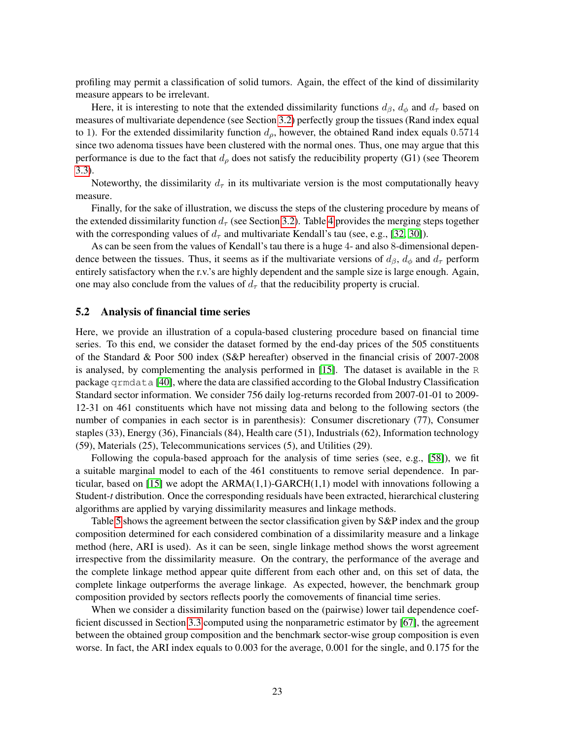profiling may permit a classification of solid tumors. Again, the effect of the kind of dissimilarity measure appears to be irrelevant.

Here, it is interesting to note that the extended dissimilarity functions  $d_{\beta}$ ,  $d_{\phi}$  and  $d_{\tau}$  based on measures of multivariate dependence (see Section [3.2\)](#page-13-0) perfectly group the tissues (Rand index equal to 1). For the extended dissimilarity function  $d_{\rho}$ , however, the obtained Rand index equals 0.5714 since two adenoma tissues have been clustered with the normal ones. Thus, one may argue that this performance is due to the fact that  $d_{\rho}$  does not satisfy the reducibility property (G1) (see Theorem [3.3\)](#page-13-1).

Noteworthy, the dissimilarity  $d_{\tau}$  in its multivariate version is the most computationally heavy measure.

Finally, for the sake of illustration, we discuss the steps of the clustering procedure by means of the extended dissimilarity function  $d_{\tau}$  (see Section [3.2\)](#page-13-0). Table [4](#page-27-0) provides the merging steps together with the corresponding values of  $d_{\tau}$  and multivariate Kendall's tau (see, e.g., [\[32,](#page-24-21) [30\]](#page-24-26)).

As can be seen from the values of Kendall's tau there is a huge 4- and also 8-dimensional dependence between the tissues. Thus, it seems as if the multivariate versions of  $d_{\beta}$ ,  $d_{\phi}$  and  $d_{\tau}$  perform entirely satisfactory when the r.v.'s are highly dependent and the sample size is large enough. Again, one may also conclude from the values of  $d_{\tau}$  that the reducibility property is crucial.

### 5.2 Analysis of financial time series

Here, we provide an illustration of a copula-based clustering procedure based on financial time series. To this end, we consider the dataset formed by the end-day prices of the 505 constituents of the Standard & Poor 500 index (S&P hereafter) observed in the financial crisis of 2007-2008 is analysed, by complementing the analysis performed in [\[15\]](#page-24-11). The dataset is available in the R package qrmdata [\[40\]](#page-25-24), where the data are classified according to the Global Industry Classification Standard sector information. We consider 756 daily log-returns recorded from 2007-01-01 to 2009- 12-31 on 461 constituents which have not missing data and belong to the following sectors (the number of companies in each sector is in parenthesis): Consumer discretionary (77), Consumer staples (33), Energy (36), Financials (84), Health care (51), Industrials (62), Information technology (59), Materials (25), Telecommunications services (5), and Utilities (29).

Following the copula-based approach for the analysis of time series (see, e.g., [\[58\]](#page-25-18)), we fit a suitable marginal model to each of the 461 constituents to remove serial dependence. In par-ticular, based on [\[15\]](#page-24-11) we adopt the  $ARMA(1,1)-GARCH(1,1)$  model with innovations following a Student-*t* distribution. Once the corresponding residuals have been extracted, hierarchical clustering algorithms are applied by varying dissimilarity measures and linkage methods.

Table [5](#page-27-1) shows the agreement between the sector classification given by S&P index and the group composition determined for each considered combination of a dissimilarity measure and a linkage method (here, ARI is used). As it can be seen, single linkage method shows the worst agreement irrespective from the dissimilarity measure. On the contrary, the performance of the average and the complete linkage method appear quite different from each other and, on this set of data, the complete linkage outperforms the average linkage. As expected, however, the benchmark group composition provided by sectors reflects poorly the comovements of financial time series.

When we consider a dissimilarity function based on the (pairwise) lower tail dependence coefficient discussed in Section [3.3](#page-17-0) computed using the nonparametric estimator by [\[67\]](#page-26-9), the agreement between the obtained group composition and the benchmark sector-wise group composition is even worse. In fact, the ARI index equals to 0.003 for the average, 0.001 for the single, and 0.175 for the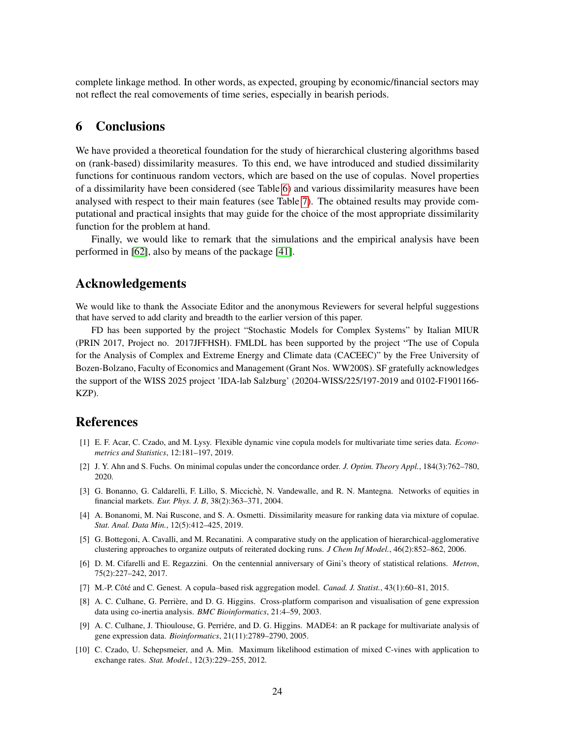complete linkage method. In other words, as expected, grouping by economic/financial sectors may not reflect the real comovements of time series, especially in bearish periods.

### <span id="page-23-4"></span>6 Conclusions

We have provided a theoretical foundation for the study of hierarchical clustering algorithms based on (rank-based) dissimilarity measures. To this end, we have introduced and studied dissimilarity functions for continuous random vectors, which are based on the use of copulas. Novel properties of a dissimilarity have been considered (see Table [6\)](#page-27-2) and various dissimilarity measures have been analysed with respect to their main features (see Table [7\)](#page-27-3). The obtained results may provide computational and practical insights that may guide for the choice of the most appropriate dissimilarity function for the problem at hand.

Finally, we would like to remark that the simulations and the empirical analysis have been performed in [\[62\]](#page-25-25), also by means of the package [\[41\]](#page-25-26).

## Acknowledgements

We would like to thank the Associate Editor and the anonymous Reviewers for several helpful suggestions that have served to add clarity and breadth to the earlier version of this paper.

FD has been supported by the project "Stochastic Models for Complex Systems" by Italian MIUR (PRIN 2017, Project no. 2017JFFHSH). FMLDL has been supported by the project "The use of Copula for the Analysis of Complex and Extreme Energy and Climate data (CACEEC)" by the Free University of Bozen-Bolzano, Faculty of Economics and Management (Grant Nos. WW200S). SF gratefully acknowledges the support of the WISS 2025 project 'IDA-lab Salzburg' (20204-WISS/225/197-2019 and 0102-F1901166- KZP).

### References

- <span id="page-23-7"></span>[1] E. F. Acar, C. Czado, and M. Lysy. Flexible dynamic vine copula models for multivariate time series data. *Econometrics and Statistics*, 12:181–197, 2019.
- <span id="page-23-6"></span>[2] J. Y. Ahn and S. Fuchs. On minimal copulas under the concordance order. *J. Optim. Theory Appl.*, 184(3):762–780, 2020.
- <span id="page-23-2"></span>[3] G. Bonanno, G. Caldarelli, F. Lillo, S. Miccichè, N. Vandewalle, and R. N. Mantegna. Networks of equities in financial markets. *Eur. Phys. J. B*, 38(2):363–371, 2004.
- <span id="page-23-3"></span>[4] A. Bonanomi, M. Nai Ruscone, and S. A. Osmetti. Dissimilarity measure for ranking data via mixture of copulae. *Stat. Anal. Data Min.*, 12(5):412–425, 2019.
- <span id="page-23-8"></span>[5] G. Bottegoni, A. Cavalli, and M. Recanatini. A comparative study on the application of hierarchical-agglomerative clustering approaches to organize outputs of reiterated docking runs. *J Chem Inf Model.*, 46(2):852–862, 2006.
- <span id="page-23-5"></span>[6] D. M. Cifarelli and E. Regazzini. On the centennial anniversary of Gini's theory of statistical relations. *Metron*, 75(2):227–242, 2017.
- <span id="page-23-1"></span>[7] M.-P. Côté and C. Genest. A copula–based risk aggregation model. *Canad. J. Statist.*, 43(1):60–81, 2015.
- <span id="page-23-10"></span>[8] A. C. Culhane, G. Perrière, and D. G. Higgins. Cross-platform comparison and visualisation of gene expression data using co-inertia analysis. *BMC Bioinformatics*, 21:4–59, 2003.
- <span id="page-23-9"></span>[9] A. C. Culhane, J. Thioulouse, G. Perriére, and D. G. Higgins. MADE4: an R package for multivariate analysis of gene expression data. *Bioinformatics*, 21(11):2789–2790, 2005.
- <span id="page-23-0"></span>[10] C. Czado, U. Schepsmeier, and A. Min. Maximum likelihood estimation of mixed C-vines with application to exchange rates. *Stat. Model.*, 12(3):229–255, 2012.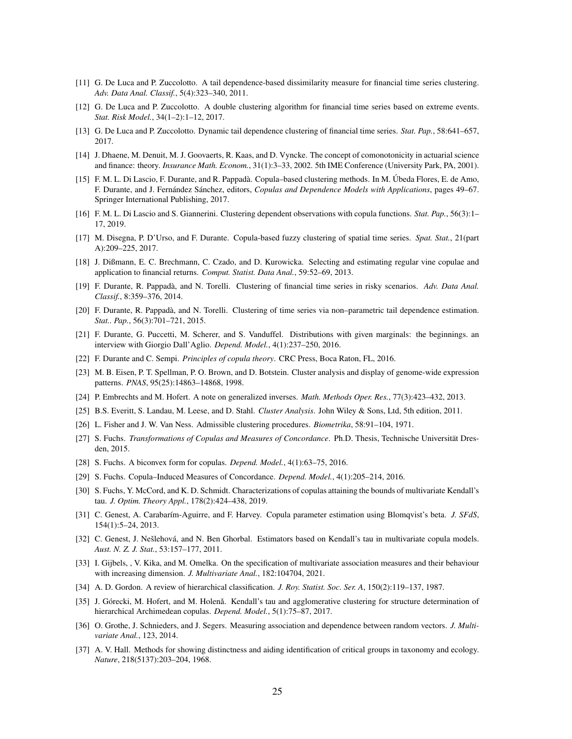- <span id="page-24-6"></span>[11] G. De Luca and P. Zuccolotto. A tail dependence-based dissimilarity measure for financial time series clustering. *Adv. Data Anal. Classif.*, 5(4):323–340, 2011.
- <span id="page-24-8"></span>[12] G. De Luca and P. Zuccolotto. A double clustering algorithm for financial time series based on extreme events. *Stat. Risk Model.*, 34(1–2):1–12, 2017.
- <span id="page-24-7"></span>[13] G. De Luca and P. Zuccolotto. Dynamic tail dependence clustering of financial time series. *Stat. Pap.*, 58:641–657, 2017.
- <span id="page-24-14"></span>[14] J. Dhaene, M. Denuit, M. J. Goovaerts, R. Kaas, and D. Vyncke. The concept of comonotonicity in actuarial science and finance: theory. *Insurance Math. Econom.*, 31(1):3–33, 2002. 5th IME Conference (University Park, PA, 2001).
- <span id="page-24-11"></span>[15] F. M. L. Di Lascio, F. Durante, and R. Pappada. Copula–based clustering methods. In M. ` Ubeda Flores, E. de Amo, ´ F. Durante, and J. Fernández Sánchez, editors, Copulas and Dependence Models with Applications, pages 49–67. Springer International Publishing, 2017.
- <span id="page-24-13"></span>[16] F. M. L. Di Lascio and S. Giannerini. Clustering dependent observations with copula functions. *Stat. Pap.*, 56(3):1– 17, 2019.
- <span id="page-24-12"></span>[17] M. Disegna, P. D'Urso, and F. Durante. Copula-based fuzzy clustering of spatial time series. *Spat. Stat.*, 21(part A):209–225, 2017.
- <span id="page-24-5"></span>[18] J. Dißmann, E. C. Brechmann, C. Czado, and D. Kurowicka. Selecting and estimating regular vine copulae and application to financial returns. *Comput. Statist. Data Anal.*, 59:52–69, 2013.
- <span id="page-24-9"></span>[19] F. Durante, R. Pappada, and N. Torelli. Clustering of financial time series in risky scenarios. ` *Adv. Data Anal. Classif.*, 8:359–376, 2014.
- <span id="page-24-10"></span>[20] F. Durante, R. Pappadà, and N. Torelli. Clustering of time series via non–parametric tail dependence estimation. *Stat.. Pap.*, 56(3):701–721, 2015.
- <span id="page-24-16"></span>[21] F. Durante, G. Puccetti, M. Scherer, and S. Vanduffel. Distributions with given marginals: the beginnings. an interview with Giorgio Dall'Aglio. *Depend. Model.*, 4(1):237–250, 2016.
- <span id="page-24-1"></span>[22] F. Durante and C. Sempi. *Principles of copula theory*. CRC Press, Boca Raton, FL, 2016.
- <span id="page-24-25"></span>[23] M. B. Eisen, P. T. Spellman, P. O. Brown, and D. Botstein. Cluster analysis and display of genome-wide expression patterns. *PNAS*, 95(25):14863–14868, 1998.
- <span id="page-24-15"></span>[24] P. Embrechts and M. Hofert. A note on generalized inverses. *Math. Methods Oper. Res.*, 77(3):423–432, 2013.
- <span id="page-24-0"></span>[25] B.S. Everitt, S. Landau, M. Leese, and D. Stahl. *Cluster Analysis*. John Wiley & Sons, Ltd, 5th edition, 2011.
- <span id="page-24-18"></span>[26] L. Fisher and J. W. Van Ness. Admissible clustering procedures. *Biometrika*, 58:91–104, 1971.
- <span id="page-24-20"></span>[27] S. Fuchs. *Transformations of Copulas and Measures of Concordance*. Ph.D. Thesis, Technische Universität Dresden, 2015.
- <span id="page-24-19"></span>[28] S. Fuchs. A biconvex form for copulas. *Depend. Model.*, 4(1):63–75, 2016.
- <span id="page-24-17"></span>[29] S. Fuchs. Copula–Induced Measures of Concordance. *Depend. Model.*, 4(1):205–214, 2016.
- <span id="page-24-26"></span>[30] S. Fuchs, Y. McCord, and K. D. Schmidt. Characterizations of copulas attaining the bounds of multivariate Kendall's tau. *J. Optim. Theory Appl.*, 178(2):424–438, 2019.
- <span id="page-24-23"></span>[31] C. Genest, A. Carabar´ım-Aguirre, and F. Harvey. Copula parameter estimation using Blomqvist's beta. *J. SFdS*, 154(1):5–24, 2013.
- <span id="page-24-21"></span>[32] C. Genest, J. Nešlehová, and N. Ben Ghorbal. Estimators based on Kendall's tau in multivariate copula models. *Aust. N. Z. J. Stat.*, 53:157–177, 2011.
- <span id="page-24-2"></span>[33] I. Gijbels, , V. Kika, and M. Omelka. On the specification of multivariate association measures and their behaviour with increasing dimension. *J. Multivariate Anal.*, 182:104704, 2021.
- <span id="page-24-22"></span>[34] A. D. Gordon. A review of hierarchical classification. *J. Roy. Statist. Soc. Ser. A*, 150(2):119–137, 1987.
- <span id="page-24-4"></span>[35] J. Górecki, M. Hofert, and M. Holenă. Kendall's tau and agglomerative clustering for structure determination of hierarchical Archimedean copulas. *Depend. Model.*, 5(1):75–87, 2017.
- <span id="page-24-3"></span>[36] O. Grothe, J. Schnieders, and J. Segers. Measuring association and dependence between random vectors. *J. Multivariate Anal.*, 123, 2014.
- <span id="page-24-24"></span>[37] A. V. Hall. Methods for showing distinctness and aiding identification of critical groups in taxonomy and ecology. *Nature*, 218(5137):203–204, 1968.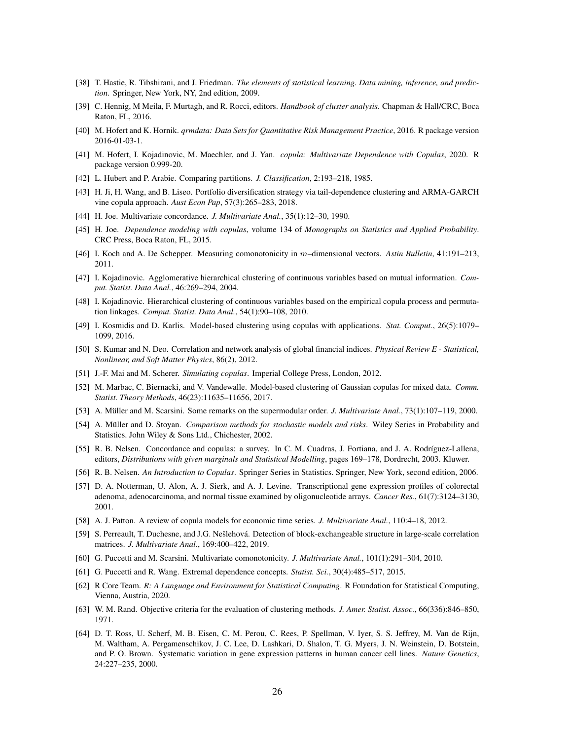- <span id="page-25-0"></span>[38] T. Hastie, R. Tibshirani, and J. Friedman. *The elements of statistical learning. Data mining, inference, and prediction.* Springer, New York, NY, 2nd edition, 2009.
- <span id="page-25-1"></span>[39] C. Hennig, M Meila, F. Murtagh, and R. Rocci, editors. *Handbook of cluster analysis.* Chapman & Hall/CRC, Boca Raton, FL, 2016.
- <span id="page-25-24"></span>[40] M. Hofert and K. Hornik. *qrmdata: Data Sets for Quantitative Risk Management Practice*, 2016. R package version 2016-01-03-1.
- <span id="page-25-26"></span>[41] M. Hofert, I. Kojadinovic, M. Maechler, and J. Yan. *copula: Multivariate Dependence with Copulas*, 2020. R package version 0.999-20.
- <span id="page-25-19"></span>[42] L. Hubert and P. Arabie. Comparing partitions. *J. Classification*, 2:193–218, 1985.
- <span id="page-25-17"></span>[43] H. Ji, H. Wang, and B. Liseo. Portfolio diversification strategy via tail-dependence clustering and ARMA-GARCH vine copula approach. *Aust Econ Pap*, 57(3):265–283, 2018.
- <span id="page-25-14"></span>[44] H. Joe. Multivariate concordance. *J. Multivariate Anal.*, 35(1):12–30, 1990.
- <span id="page-25-2"></span>[45] H. Joe. *Dependence modeling with copulas*, volume 134 of *Monographs on Statistics and Applied Probability*. CRC Press, Boca Raton, FL, 2015.
- <span id="page-25-10"></span>[46] I. Koch and A. De Schepper. Measuring comonotonicity in m–dimensional vectors. *Astin Bulletin*, 41:191–213, 2011.
- <span id="page-25-6"></span>[47] I. Kojadinovic. Agglomerative hierarchical clustering of continuous variables based on mutual information. *Comput. Statist. Data Anal.*, 46:269–294, 2004.
- <span id="page-25-7"></span>[48] I. Kojadinovic. Hierarchical clustering of continuous variables based on the empirical copula process and permutation linkages. *Comput. Statist. Data Anal.*, 54(1):90–108, 2010.
- <span id="page-25-8"></span>[49] I. Kosmidis and D. Karlis. Model-based clustering using copulas with applications. *Stat. Comput.*, 26(5):1079– 1099, 2016.
- <span id="page-25-20"></span>[50] S. Kumar and N. Deo. Correlation and network analysis of global financial indices. *Physical Review E - Statistical, Nonlinear, and Soft Matter Physics*, 86(2), 2012.
- <span id="page-25-3"></span>[51] J.-F. Mai and M. Scherer. *Simulating copulas*. Imperial College Press, London, 2012.
- <span id="page-25-9"></span>[52] M. Marbac, C. Biernacki, and V. Vandewalle. Model-based clustering of Gaussian copulas for mixed data. *Comm. Statist. Theory Methods*, 46(23):11635–11656, 2017.
- <span id="page-25-15"></span>[53] A. Müller and M. Scarsini. Some remarks on the supermodular order. *J. Multivariate Anal.*, 73(1):107–119, 2000.
- <span id="page-25-13"></span>[54] A. Müller and D. Stoyan. *Comparison methods for stochastic models and risks*. Wiley Series in Probability and Statistics. John Wiley & Sons Ltd., Chichester, 2002.
- <span id="page-25-16"></span>[55] R. B. Nelsen. Concordance and copulas: a survey. In C. M. Cuadras, J. Fortiana, and J. A. Rodríguez-Lallena, editors, *Distributions with given marginals and Statistical Modelling*, pages 169–178, Dordrecht, 2003. Kluwer.
- <span id="page-25-4"></span>[56] R. B. Nelsen. *An Introduction to Copulas*. Springer Series in Statistics. Springer, New York, second edition, 2006.
- <span id="page-25-22"></span>[57] D. A. Notterman, U. Alon, A. J. Sierk, and A. J. Levine. Transcriptional gene expression profiles of colorectal adenoma, adenocarcinoma, and normal tissue examined by oligonucleotide arrays. *Cancer Res.*, 61(7):3124–3130, 2001.
- <span id="page-25-18"></span>[58] A. J. Patton. A review of copula models for economic time series. *J. Multivariate Anal.*, 110:4–18, 2012.
- <span id="page-25-5"></span>[59] S. Perreault, T. Duchesne, and J.G. Nešlehová. Detection of block-exchangeable structure in large-scale correlation matrices. *J. Multivariate Anal.*, 169:400–422, 2019.
- <span id="page-25-11"></span>[60] G. Puccetti and M. Scarsini. Multivariate comonotonicity. *J. Multivariate Anal.*, 101(1):291–304, 2010.
- <span id="page-25-12"></span>[61] G. Puccetti and R. Wang. Extremal dependence concepts. *Statist. Sci.*, 30(4):485–517, 2015.
- <span id="page-25-25"></span>[62] R Core Team. *R: A Language and Environment for Statistical Computing*. R Foundation for Statistical Computing, Vienna, Austria, 2020.
- <span id="page-25-23"></span>[63] W. M. Rand. Objective criteria for the evaluation of clustering methods. *J. Amer. Statist. Assoc.*, 66(336):846–850, 1971.
- <span id="page-25-21"></span>[64] D. T. Ross, U. Scherf, M. B. Eisen, C. M. Perou, C. Rees, P. Spellman, V. Iyer, S. S. Jeffrey, M. Van de Rijn, M. Waltham, A. Pergamenschikov, J. C. Lee, D. Lashkari, D. Shalon, T. G. Myers, J. N. Weinstein, D. Botstein, and P. O. Brown. Systematic variation in gene expression patterns in human cancer cell lines. *Nature Genetics*, 24:227–235, 2000.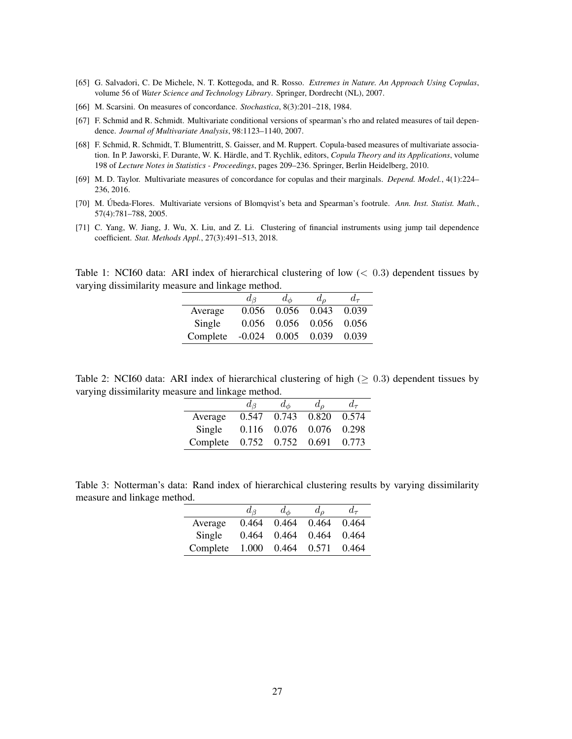- <span id="page-26-0"></span>[65] G. Salvadori, C. De Michele, N. T. Kottegoda, and R. Rosso. *Extremes in Nature. An Approach Using Copulas*, volume 56 of *Water Science and Technology Library*. Springer, Dordrecht (NL), 2007.
- <span id="page-26-1"></span>[66] M. Scarsini. On measures of concordance. *Stochastica*, 8(3):201–218, 1984.
- <span id="page-26-9"></span>[67] F. Schmid and R. Schmidt. Multivariate conditional versions of spearman's rho and related measures of tail dependence. *Journal of Multivariate Analysis*, 98:1123–1140, 2007.
- <span id="page-26-3"></span>[68] F. Schmid, R. Schmidt, T. Blumentritt, S. Gaisser, and M. Ruppert. Copula-based measures of multivariate association. In P. Jaworski, F. Durante, W. K. Härdle, and T. Rychlik, editors, Copula Theory and its Applications, volume 198 of *Lecture Notes in Statistics - Proceedings*, pages 209–236. Springer, Berlin Heidelberg, 2010.
- <span id="page-26-2"></span>[69] M. D. Taylor. Multivariate measures of concordance for copulas and their marginals. *Depend. Model.*, 4(1):224– 236, 2016.
- <span id="page-26-4"></span>[70] M. Úbeda-Flores. Multivariate versions of Blomqvist's beta and Spearman's footrule. Ann. Inst. Statist. Math., 57(4):781–788, 2005.
- <span id="page-26-5"></span>[71] C. Yang, W. Jiang, J. Wu, X. Liu, and Z. Li. Clustering of financial instruments using jump tail dependence coefficient. *Stat. Methods Appl.*, 27(3):491–513, 2018.

<span id="page-26-6"></span>Table 1: NCI60 data: ARI index of hierarchical clustering of low  $(< 0.3$ ) dependent tissues by varying dissimilarity measure and linkage method.

|          | $a_{\beta}$ | $d_{\phi}$ | $d_{\alpha}$  | $d_{\tau}$ |
|----------|-------------|------------|---------------|------------|
| Average  | 0.056       | 0.056      | 0.043         | 0.039      |
| Single   | 0.056       |            | $0.056$ 0.056 | 0.056      |
| Complete | $-0.024$    | 0.005      | 0.039         | 0.039      |

<span id="page-26-7"></span>Table 2: NCI60 data: ARI index of hierarchical clustering of high ( $\geq 0.3$ ) dependent tissues by varying dissimilarity measure and linkage method.

|          | $d_{\mathcal{B}}$ | $d_{\phi}$ | $d_{\rho}$ | $d_{\tau}$ |
|----------|-------------------|------------|------------|------------|
| Average  | 0.547             | 0.743      | 0.820      | 0.574      |
| Single   | 0.116             | 0.076      | 0.076      | 0.298      |
| Complete | 0.752             | 0.752      | 0.691      | 0.773      |

<span id="page-26-8"></span>Table 3: Notterman's data: Rand index of hierarchical clustering results by varying dissimilarity measure and linkage method.

|          | $d_{\beta}$ | $d_{\phi}$ | $d_{\rho}$ | $d_{\tau}$ |
|----------|-------------|------------|------------|------------|
| Average  | 0.464       | 0.464      | 0.464      | 0.464      |
| Single   | 0.464       | 0.464      | 0.464      | 0.464      |
| Complete | 1.000       | 0.464      | 0.571      | 0.464      |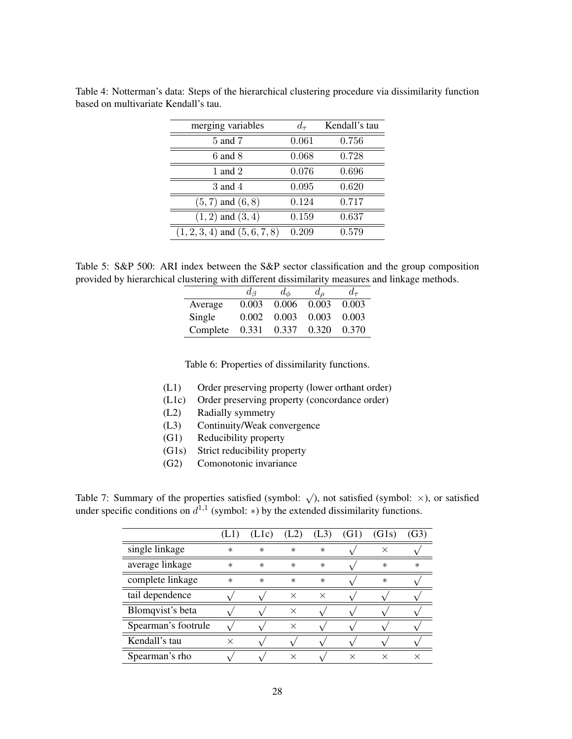| merging variables                 | $d_{\tau}$ | Kendall's tau |
|-----------------------------------|------------|---------------|
| 5 and 7                           | 0.061      | 0.756         |
| $6$ and $8$                       | 0.068      | 0.728         |
| 1 and 2                           | 0.076      | 0.696         |
| $3$ and $4$                       | 0.095      | 0.620         |
| $(5,7)$ and $(6,8)$               | 0.124      | 0.717         |
| $(1,2)$ and $(3,4)$               | 0.159      | 0.637         |
| $(1, 2, 3, 4)$ and $(5, 6, 7, 8)$ | 0.209      | 0.579         |

<span id="page-27-0"></span>Table 4: Notterman's data: Steps of the hierarchical clustering procedure via dissimilarity function based on multivariate Kendall's tau.

<span id="page-27-1"></span>Table 5: S&P 500: ARI index between the S&P sector classification and the group composition provided by hierarchical clustering with different dissimilarity measures and linkage methods.

|          | $d_{\beta}$ | $d_{\phi}$ | $d_{\alpha}$ | $d_{\tau}$ |
|----------|-------------|------------|--------------|------------|
| Average  | 0.003       | 0.006      | 0.003        | 0.003      |
| Single   | 0.002       | 0.003      | 0.003        | 0.003      |
| Complete | 0.331       | 0.337      | 0.320        | 0.370      |

<span id="page-27-2"></span>Table 6: Properties of dissimilarity functions.

- (L1) Order preserving property (lower orthant order)
- (L1c) Order preserving property (concordance order)
- (L2) Radially symmetry
- (L3) Continuity/Weak convergence
- (G1) Reducibility property
- (G1s) Strict reducibility property
- (G2) Comonotonic invariance

<span id="page-27-3"></span>Table 7: Summary of the properties satisfied (symbol:  $\sqrt{ }$ ), not satisfied (symbol:  $\times$ ), or satisfied under specific conditions on  $d^{1,1}$  (symbol: \*) by the extended dissimilarity functions.

|                     |          | (Llc)  | (L2)     | (L3)     | (G1) | (G1s)    | (G3)   |
|---------------------|----------|--------|----------|----------|------|----------|--------|
| single linkage      | $\ast$   | $\ast$ | $\ast$   | $\ast$   |      | $\times$ |        |
| average linkage     | $\ast$   | $\ast$ | $\ast$   | $\ast$   |      | $\ast$   | $\ast$ |
| complete linkage    | $\ast$   | $\ast$ | $\ast$   | $\ast$   |      | $\ast$   |        |
| tail dependence     |          |        | X        | $\times$ |      |          |        |
| Blomqvist's beta    |          |        | X        |          |      |          |        |
| Spearman's footrule |          |        | $\times$ |          |      |          |        |
| Kendall's tau       | $\times$ |        |          |          |      |          |        |
| Spearman's rho      |          |        |          |          |      |          |        |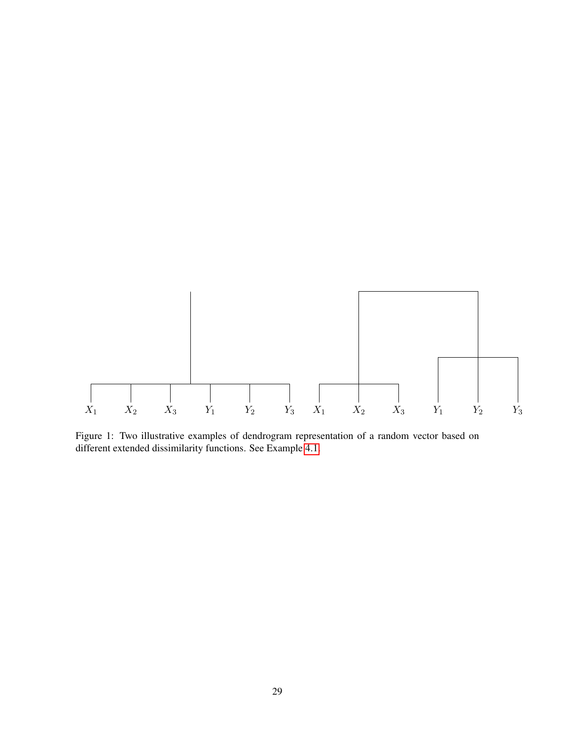

<span id="page-28-0"></span>Figure 1: Two illustrative examples of dendrogram representation of a random vector based on different extended dissimilarity functions. See Example [4.1.](#page-19-2)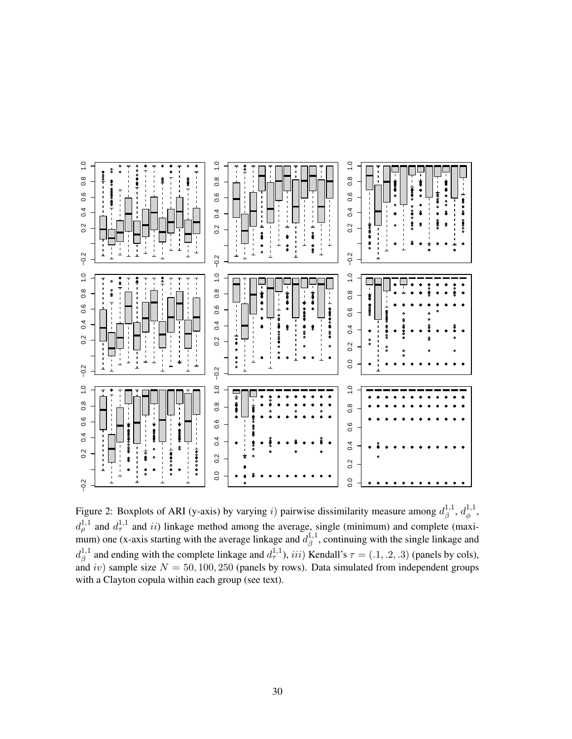

<span id="page-29-0"></span>Figure 2: Boxplots of ARI (y-axis) by varying i) pairwise dissimilarity measure among  $d_0^{1,1}$  $a_{\beta}^{1,1}, d_{\phi}^{1,1}$  $\overset{\text{\tiny{1,1}}}{\phi}$  $d_{\rho}^{1,1}$  and  $d_{\tau}^{1,1}$  and ii) linkage method among the average, single (minimum) and complete (maximum) one (x-axis starting with the average linkage and  $d_3^{1,1}$  $\beta^{1,1}$ , continuing with the single linkage and  $d_{\beta}^{1,1}$ <sup>1,1</sup> and ending with the complete linkage and  $d_{\tau}^{1,1}$ , iii) Kendall's  $\tau = (0.1, 0.2, 0.3)$  (panels by cols), and iv) sample size  $N = 50, 100, 250$  (panels by rows). Data simulated from independent groups with a Clayton copula within each group (see text).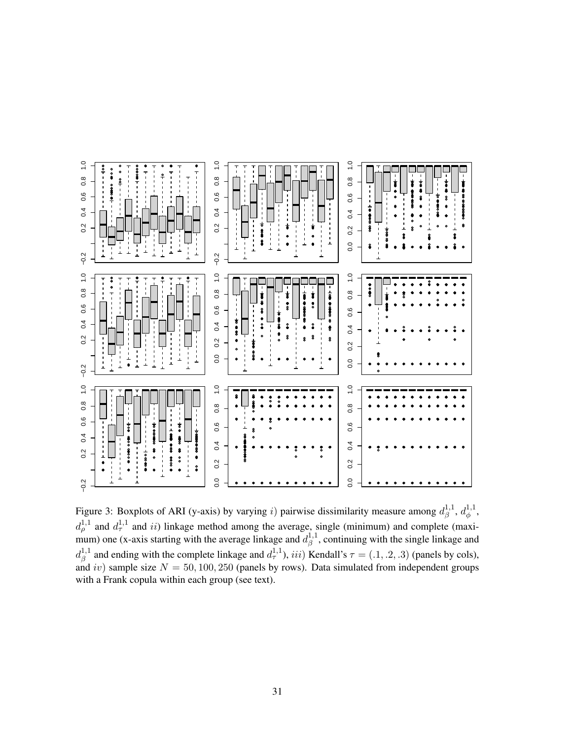

<span id="page-30-0"></span>Figure 3: Boxplots of ARI (y-axis) by varying i) pairwise dissimilarity measure among  $d_{\beta}^{1,1}$  $\frac{1}{\beta}^{1,1}, d_{\phi}^{1,1}$  $\overset{\text{i},\text{1}}{\phi},$  $d_{\rho}^{1,1}$  and  $d_{\tau}^{1,1}$  and ii) linkage method among the average, single (minimum) and complete (maximum) one (x-axis starting with the average linkage and  $d_3^{1,1}$  $\beta^{1,1}$ , continuing with the single linkage and  $d_{\scriptscriptstyle\mathcal{B}}^{1,1}$  $\beta^{1,1}$  and ending with the complete linkage and  $d_{\tau}^{1,1}$ , iii) Kendall's  $\tau = (0.1, 0.2, 0.3)$  (panels by cols), and iv) sample size  $N = 50, 100, 250$  (panels by rows). Data simulated from independent groups with a Frank copula within each group (see text).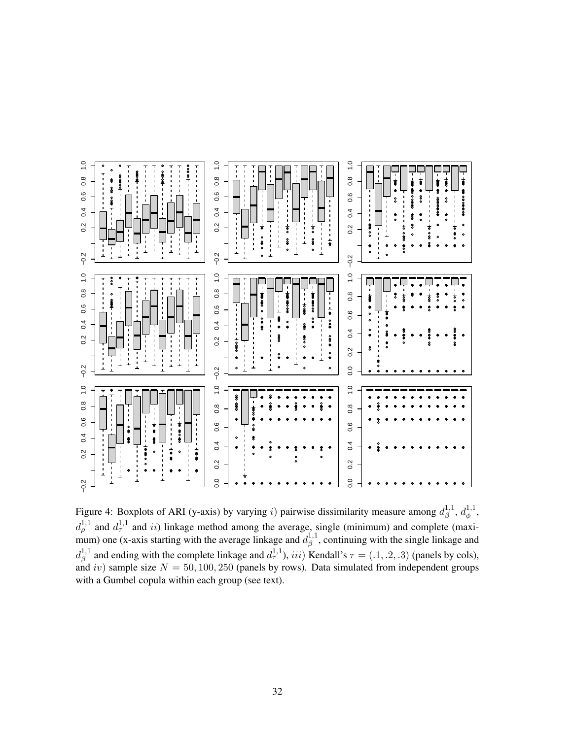

<span id="page-31-0"></span>Figure 4: Boxplots of ARI (y-axis) by varying i) pairwise dissimilarity measure among  $d_{\beta}^{1,1}$  $a_{\beta}^{1,1}, d_{\phi}^{1,1}$  $\overset{\text{\tiny{1,1}}}{\phi}$  $d_{\rho}^{1,1}$  and  $d_{\tau}^{1,1}$  and ii) linkage method among the average, single (minimum) and complete (maximum) one (x-axis starting with the average linkage and  $d_3^{1,1}$  $\beta^{1,1}$ , continuing with the single linkage and  $d_{\beta}^{1,1}$ <sup>1,1</sup> and ending with the complete linkage and  $d_{\tau}^{1,1}$ , *iii*) Kendall's  $\tau = (0.1, 0.2, 0.3)$  (panels by cols), and iv) sample size  $N = 50, 100, 250$  (panels by rows). Data simulated from independent groups with a Gumbel copula within each group (see text).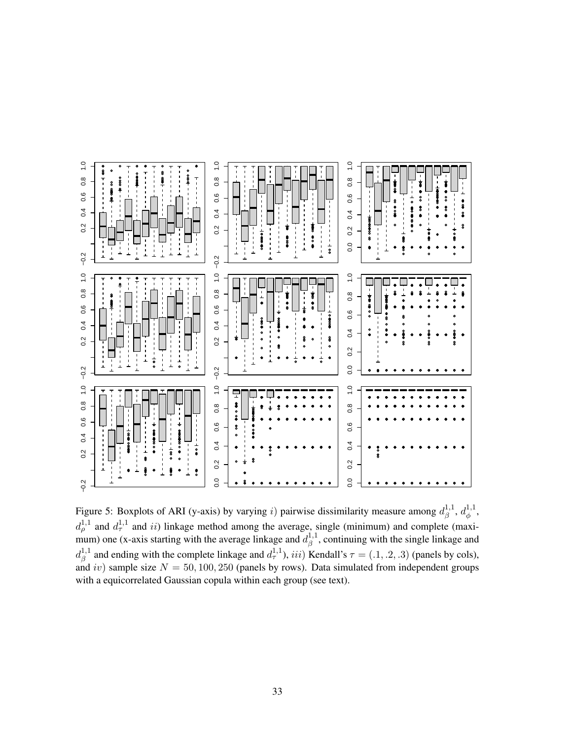

<span id="page-32-0"></span>Figure 5: Boxplots of ARI (y-axis) by varying i) pairwise dissimilarity measure among  $d_3^{1,1}$  $a_{\beta}^{1,1}, d_{\phi}^{1,1}$  $_{\phi}^{\text{{\tiny 1,1}}},$  $d_{\rho}^{1,1}$  and  $d_{\tau}^{1,1}$  and ii) linkage method among the average, single (minimum) and complete (maximum) one (x-axis starting with the average linkage and  $d_3^{1,1}$  $\beta^{1,1}$ , continuing with the single linkage and  $d_{\beta}^{1,1}$  $\beta^{1,1}$  and ending with the complete linkage and  $d_{\tau}^{1,1}$ , iii) Kendall's  $\tau = (0.1, 0.2, 0.3)$  (panels by cols), and iv) sample size  $N = 50, 100, 250$  (panels by rows). Data simulated from independent groups with a equicorrelated Gaussian copula within each group (see text).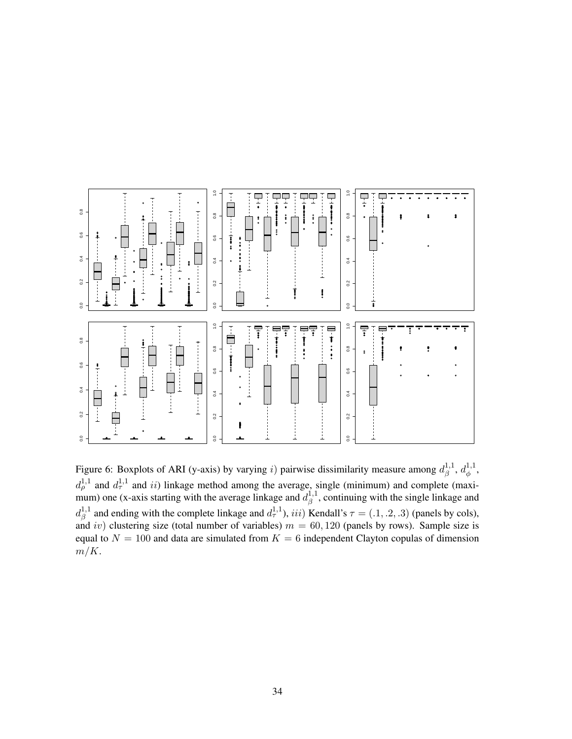

<span id="page-33-0"></span>Figure 6: Boxplots of ARI (y-axis) by varying i) pairwise dissimilarity measure among  $d_{\beta}^{1,1}$  $a_{\beta}^{1,1}, d_{\phi}^{1,1}$  $\overset{\text{\tiny{1,1}}}{\phi}$  $d_{\rho}^{1,1}$  and  $d_{\tau}^{1,1}$  and ii) linkage method among the average, single (minimum) and complete (maximum) one (x-axis starting with the average linkage and  $d_3^{1,1}$  $\beta^{1,1}$ , continuing with the single linkage and  $d_{\beta}^{1,1}$  $\beta^{1,1}$  and ending with the complete linkage and  $d_{\tau}^{1,1}$ , iii) Kendall's  $\tau = (0.1, 0.2, 0.3)$  (panels by cols), and iv) clustering size (total number of variables)  $m = 60, 120$  (panels by rows). Sample size is equal to  $N = 100$  and data are simulated from  $K = 6$  independent Clayton copulas of dimension  $m/K$ .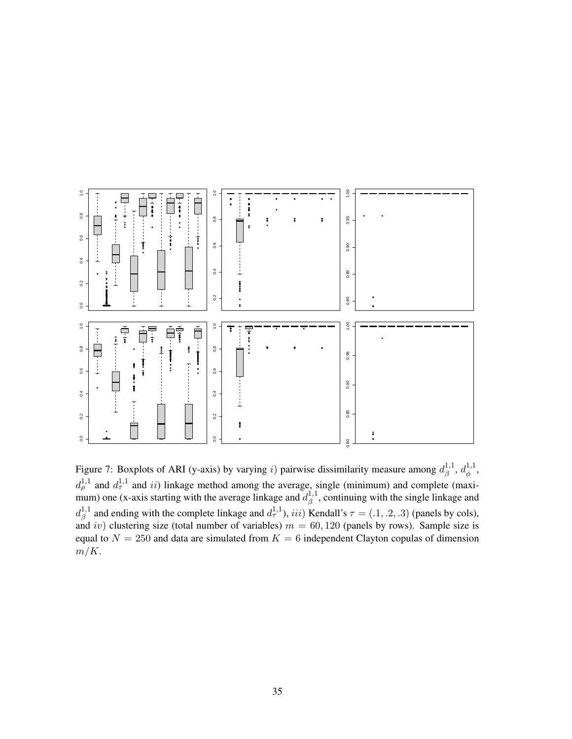

Figure 7: Boxplots of ARI (y-axis) by varying i) pairwise dissimilarity measure among  $d_{\beta}^{1,1}$  $a_{\beta}^{1,1}, d_{\phi}^{1,1}$  $\overset{\text{\tiny{1,1}}}{\phi}$  $d_{\rho}^{1,1}$  and  $d_{\tau}^{1,1}$  and ii) linkage method among the average, single (minimum) and complete (maximum) one (x-axis starting with the average linkage and  $d_3^{1,1}$  $\beta^{1,1}$ , continuing with the single linkage and  $d_{\beta}^{1,1}$  $\beta^{1,1}$  and ending with the complete linkage and  $d_{\tau}^{1,1}$ , iii) Kendall's  $\tau = (0.1, 0.2, 0.3)$  (panels by cols), and iv) clustering size (total number of variables)  $m = 60, 120$  (panels by rows). Sample size is equal to  $N = 250$  and data are simulated from  $K = 6$  independent Clayton copulas of dimension  $m/K$ .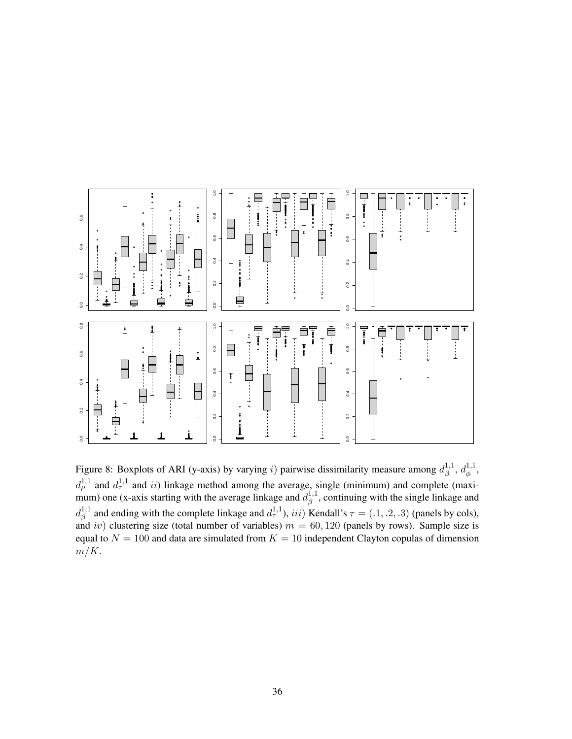

Figure 8: Boxplots of ARI (y-axis) by varying i) pairwise dissimilarity measure among  $d_3^{1,1}$  $a_{\beta}^{1,1}, d_{\phi}^{1,1}$  $\overset{\text{\tiny{1,1}}}{\phi}$  $d_{\rho}^{1,1}$  and  $d_{\tau}^{1,1}$  and ii) linkage method among the average, single (minimum) and complete (maximum) one (x-axis starting with the average linkage and  $d_3^{1,1}$  $\beta^{1,1}$ , continuing with the single linkage and  $d_{\beta}^{1,1}$  $\beta^{1,1}$  and ending with the complete linkage and  $d_{\tau}^{1,1}$ , iii) Kendall's  $\tau = (0.1, 0.2, 0.3)$  (panels by cols), and iv) clustering size (total number of variables)  $m = 60, 120$  (panels by rows). Sample size is equal to  $N = 100$  and data are simulated from  $K = 10$  independent Clayton copulas of dimension  $m/K$ .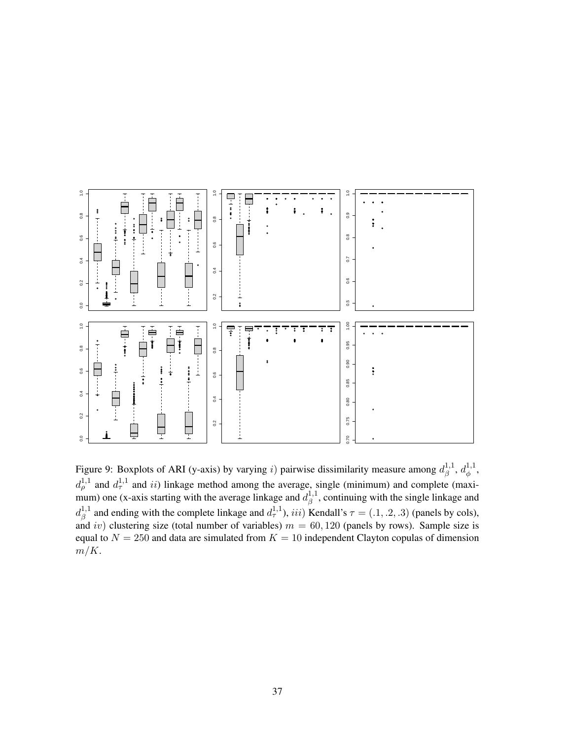

<span id="page-36-0"></span>Figure 9: Boxplots of ARI (y-axis) by varying i) pairwise dissimilarity measure among  $d_3^{1,1}$  $a_{\beta}^{1,1}, d_{\phi}^{1,1}$  $_{\phi}^{\text{{\tiny 1,1}}},$  $d_{\rho}^{1,1}$  and  $d_{\tau}^{1,1}$  and ii) linkage method among the average, single (minimum) and complete (maximum) one (x-axis starting with the average linkage and  $d_{\beta}^{1,1}$  $\beta^{1,1}$ , continuing with the single linkage and  $d_{\beta}^{1,1}$  $\beta^{1,1}$  and ending with the complete linkage and  $d_{\tau}^{1,1}$ , iii) Kendall's  $\tau = (0.1, 0.2, 0.3)$  (panels by cols), and iv) clustering size (total number of variables)  $m = 60, 120$  (panels by rows). Sample size is equal to  $N = 250$  and data are simulated from  $K = 10$  independent Clayton copulas of dimension  $m/K$ .